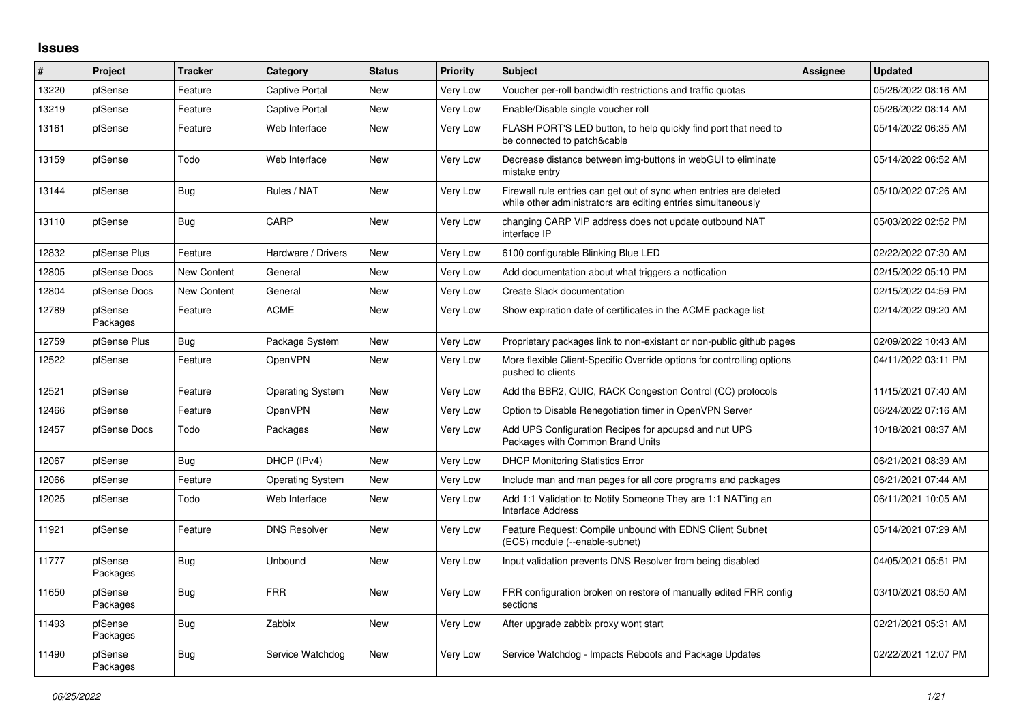## **Issues**

| #     | Project             | <b>Tracker</b>     | Category                | <b>Status</b> | <b>Priority</b> | <b>Subject</b>                                                                                                                      | Assignee | <b>Updated</b>      |
|-------|---------------------|--------------------|-------------------------|---------------|-----------------|-------------------------------------------------------------------------------------------------------------------------------------|----------|---------------------|
| 13220 | pfSense             | Feature            | <b>Captive Portal</b>   | New           | <b>Very Low</b> | Voucher per-roll bandwidth restrictions and traffic quotas                                                                          |          | 05/26/2022 08:16 AM |
| 13219 | pfSense             | Feature            | <b>Captive Portal</b>   | New           | Very Low        | Enable/Disable single voucher roll                                                                                                  |          | 05/26/2022 08:14 AM |
| 13161 | pfSense             | Feature            | Web Interface           | New           | Very Low        | FLASH PORT'S LED button, to help quickly find port that need to<br>be connected to patch&cable                                      |          | 05/14/2022 06:35 AM |
| 13159 | pfSense             | Todo               | Web Interface           | New           | Very Low        | Decrease distance between img-buttons in webGUI to eliminate<br>mistake entry                                                       |          | 05/14/2022 06:52 AM |
| 13144 | pfSense             | <b>Bug</b>         | Rules / NAT             | New           | <b>Very Low</b> | Firewall rule entries can get out of sync when entries are deleted<br>while other administrators are editing entries simultaneously |          | 05/10/2022 07:26 AM |
| 13110 | pfSense             | <b>Bug</b>         | CARP                    | <b>New</b>    | <b>Very Low</b> | changing CARP VIP address does not update outbound NAT<br>interface IP                                                              |          | 05/03/2022 02:52 PM |
| 12832 | pfSense Plus        | Feature            | Hardware / Drivers      | New           | <b>Very Low</b> | 6100 configurable Blinking Blue LED                                                                                                 |          | 02/22/2022 07:30 AM |
| 12805 | pfSense Docs        | New Content        | General                 | New           | Very Low        | Add documentation about what triggers a notfication                                                                                 |          | 02/15/2022 05:10 PM |
| 12804 | pfSense Docs        | <b>New Content</b> | General                 | New           | Very Low        | Create Slack documentation                                                                                                          |          | 02/15/2022 04:59 PM |
| 12789 | pfSense<br>Packages | Feature            | <b>ACME</b>             | New           | Very Low        | Show expiration date of certificates in the ACME package list                                                                       |          | 02/14/2022 09:20 AM |
| 12759 | pfSense Plus        | Bug                | Package System          | New           | Very Low        | Proprietary packages link to non-existant or non-public github pages                                                                |          | 02/09/2022 10:43 AM |
| 12522 | pfSense             | Feature            | OpenVPN                 | <b>New</b>    | <b>Very Low</b> | More flexible Client-Specific Override options for controlling options<br>pushed to clients                                         |          | 04/11/2022 03:11 PM |
| 12521 | pfSense             | Feature            | <b>Operating System</b> | New           | Very Low        | Add the BBR2, QUIC, RACK Congestion Control (CC) protocols                                                                          |          | 11/15/2021 07:40 AM |
| 12466 | pfSense             | Feature            | OpenVPN                 | New           | <b>Very Low</b> | Option to Disable Renegotiation timer in OpenVPN Server                                                                             |          | 06/24/2022 07:16 AM |
| 12457 | pfSense Docs        | Todo               | Packages                | New           | Very Low        | Add UPS Configuration Recipes for apcupsd and nut UPS<br>Packages with Common Brand Units                                           |          | 10/18/2021 08:37 AM |
| 12067 | pfSense             | <b>Bug</b>         | DHCP (IPv4)             | New           | <b>Very Low</b> | <b>DHCP Monitoring Statistics Error</b>                                                                                             |          | 06/21/2021 08:39 AM |
| 12066 | pfSense             | Feature            | <b>Operating System</b> | New           | Very Low        | Include man and man pages for all core programs and packages                                                                        |          | 06/21/2021 07:44 AM |
| 12025 | pfSense             | Todo               | Web Interface           | New           | <b>Very Low</b> | Add 1:1 Validation to Notify Someone They are 1:1 NAT'ing an<br><b>Interface Address</b>                                            |          | 06/11/2021 10:05 AM |
| 11921 | pfSense             | Feature            | <b>DNS Resolver</b>     | New           | <b>Very Low</b> | Feature Request: Compile unbound with EDNS Client Subnet<br>(ECS) module (--enable-subnet)                                          |          | 05/14/2021 07:29 AM |
| 11777 | pfSense<br>Packages | <b>Bug</b>         | Unbound                 | New           | Very Low        | Input validation prevents DNS Resolver from being disabled                                                                          |          | 04/05/2021 05:51 PM |
| 11650 | pfSense<br>Packages | Bug                | <b>FRR</b>              | New           | Very Low        | FRR configuration broken on restore of manually edited FRR config<br>sections                                                       |          | 03/10/2021 08:50 AM |
| 11493 | pfSense<br>Packages | <b>Bug</b>         | Zabbix                  | <b>New</b>    | Very Low        | After upgrade zabbix proxy wont start                                                                                               |          | 02/21/2021 05:31 AM |
| 11490 | pfSense<br>Packages | <b>Bug</b>         | Service Watchdog        | <b>New</b>    | <b>Very Low</b> | Service Watchdog - Impacts Reboots and Package Updates                                                                              |          | 02/22/2021 12:07 PM |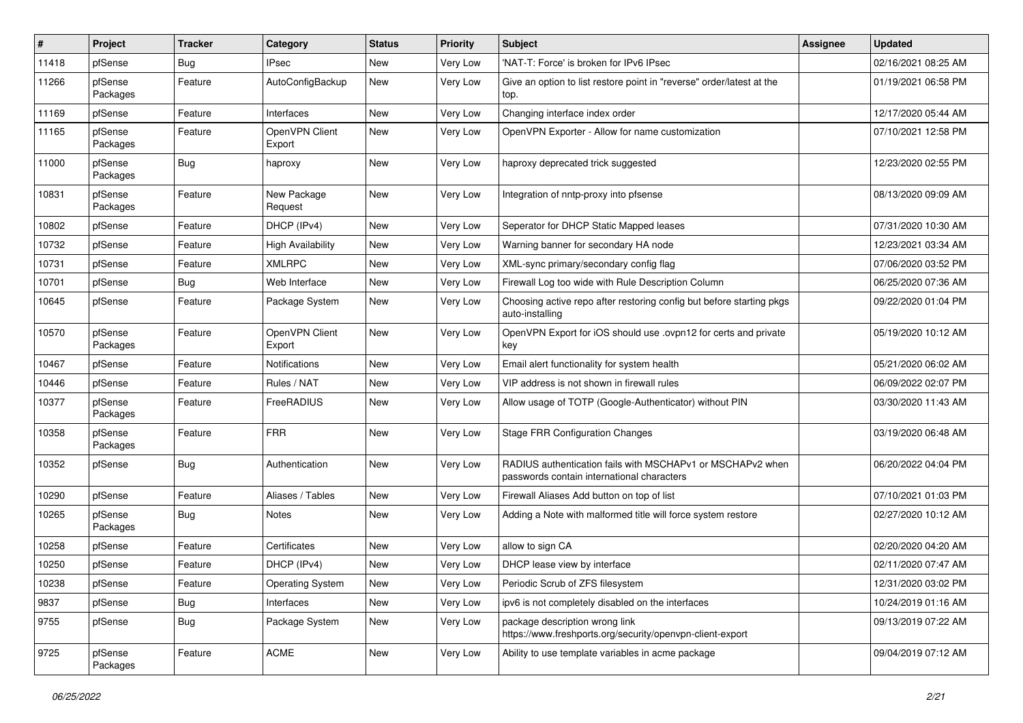| $\pmb{\#}$ | Project             | <b>Tracker</b> | Category                 | <b>Status</b> | <b>Priority</b> | <b>Subject</b>                                                                                           | <b>Assignee</b> | <b>Updated</b>      |
|------------|---------------------|----------------|--------------------------|---------------|-----------------|----------------------------------------------------------------------------------------------------------|-----------------|---------------------|
| 11418      | pfSense             | <b>Bug</b>     | <b>IPsec</b>             | New           | Very Low        | 'NAT-T: Force' is broken for IPv6 IPsec                                                                  |                 | 02/16/2021 08:25 AM |
| 11266      | pfSense<br>Packages | Feature        | AutoConfigBackup         | New           | Very Low        | Give an option to list restore point in "reverse" order/latest at the<br>top.                            |                 | 01/19/2021 06:58 PM |
| 11169      | pfSense             | Feature        | Interfaces               | <b>New</b>    | Very Low        | Changing interface index order                                                                           |                 | 12/17/2020 05:44 AM |
| 11165      | pfSense<br>Packages | Feature        | OpenVPN Client<br>Export | New           | <b>Very Low</b> | OpenVPN Exporter - Allow for name customization                                                          |                 | 07/10/2021 12:58 PM |
| 11000      | pfSense<br>Packages | <b>Bug</b>     | haproxy                  | <b>New</b>    | <b>Very Low</b> | haproxy deprecated trick suggested                                                                       |                 | 12/23/2020 02:55 PM |
| 10831      | pfSense<br>Packages | Feature        | New Package<br>Request   | New           | Very Low        | Integration of nntp-proxy into pfsense                                                                   |                 | 08/13/2020 09:09 AM |
| 10802      | pfSense             | Feature        | DHCP (IPv4)              | New           | <b>Very Low</b> | Seperator for DHCP Static Mapped leases                                                                  |                 | 07/31/2020 10:30 AM |
| 10732      | pfSense             | Feature        | <b>High Availability</b> | New           | Very Low        | Warning banner for secondary HA node                                                                     |                 | 12/23/2021 03:34 AM |
| 10731      | pfSense             | Feature        | <b>XMLRPC</b>            | <b>New</b>    | <b>Very Low</b> | XML-sync primary/secondary config flag                                                                   |                 | 07/06/2020 03:52 PM |
| 10701      | pfSense             | Bug            | Web Interface            | New           | Very Low        | Firewall Log too wide with Rule Description Column                                                       |                 | 06/25/2020 07:36 AM |
| 10645      | pfSense             | Feature        | Package System           | New           | Very Low        | Choosing active repo after restoring config but before starting pkgs<br>auto-installing                  |                 | 09/22/2020 01:04 PM |
| 10570      | pfSense<br>Packages | Feature        | OpenVPN Client<br>Export | New           | Very Low        | OpenVPN Export for iOS should use .ovpn12 for certs and private<br>kev                                   |                 | 05/19/2020 10:12 AM |
| 10467      | pfSense             | Feature        | Notifications            | New           | Very Low        | Email alert functionality for system health                                                              |                 | 05/21/2020 06:02 AM |
| 10446      | pfSense             | Feature        | Rules / NAT              | New           | Very Low        | VIP address is not shown in firewall rules                                                               |                 | 06/09/2022 02:07 PM |
| 10377      | pfSense<br>Packages | Feature        | FreeRADIUS               | New           | <b>Very Low</b> | Allow usage of TOTP (Google-Authenticator) without PIN                                                   |                 | 03/30/2020 11:43 AM |
| 10358      | pfSense<br>Packages | Feature        | <b>FRR</b>               | <b>New</b>    | Very Low        | <b>Stage FRR Configuration Changes</b>                                                                   |                 | 03/19/2020 06:48 AM |
| 10352      | pfSense             | Bug            | Authentication           | <b>New</b>    | Very Low        | RADIUS authentication fails with MSCHAPv1 or MSCHAPv2 when<br>passwords contain international characters |                 | 06/20/2022 04:04 PM |
| 10290      | pfSense             | Feature        | Aliases / Tables         | <b>New</b>    | Very Low        | Firewall Aliases Add button on top of list                                                               |                 | 07/10/2021 01:03 PM |
| 10265      | pfSense<br>Packages | <b>Bug</b>     | Notes                    | New           | Very Low        | Adding a Note with malformed title will force system restore                                             |                 | 02/27/2020 10:12 AM |
| 10258      | pfSense             | Feature        | Certificates             | New           | Very Low        | allow to sign CA                                                                                         |                 | 02/20/2020 04:20 AM |
| 10250      | pfSense             | Feature        | DHCP (IPv4)              | New           | Very Low        | DHCP lease view by interface                                                                             |                 | 02/11/2020 07:47 AM |
| 10238      | pfSense             | Feature        | <b>Operating System</b>  | New           | Very Low        | Periodic Scrub of ZFS filesystem                                                                         |                 | 12/31/2020 03:02 PM |
| 9837       | pfSense             | <b>Bug</b>     | Interfaces               | New           | Very Low        | ipv6 is not completely disabled on the interfaces                                                        |                 | 10/24/2019 01:16 AM |
| 9755       | pfSense             | <b>Bug</b>     | Package System           | New           | Very Low        | package description wrong link<br>https://www.freshports.org/security/openvpn-client-export              |                 | 09/13/2019 07:22 AM |
| 9725       | pfSense<br>Packages | Feature        | <b>ACME</b>              | New           | Very Low        | Ability to use template variables in acme package                                                        |                 | 09/04/2019 07:12 AM |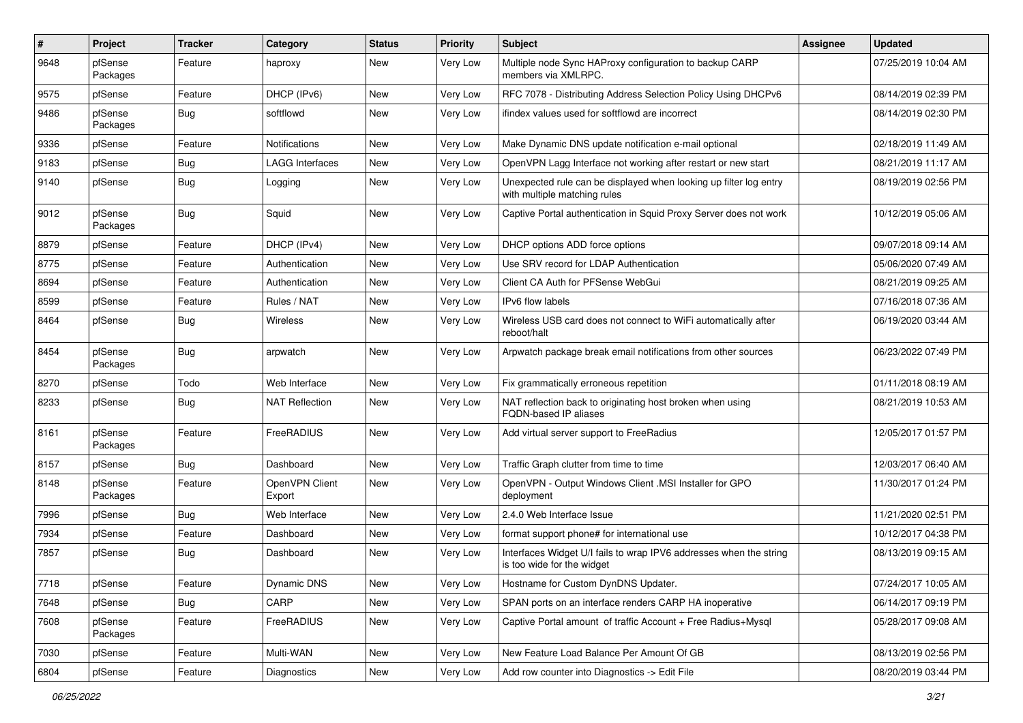| $\pmb{\#}$ | Project             | <b>Tracker</b> | Category                 | <b>Status</b> | <b>Priority</b> | <b>Subject</b>                                                                                    | <b>Assignee</b> | <b>Updated</b>      |
|------------|---------------------|----------------|--------------------------|---------------|-----------------|---------------------------------------------------------------------------------------------------|-----------------|---------------------|
| 9648       | pfSense<br>Packages | Feature        | haproxy                  | New           | Very Low        | Multiple node Sync HAProxy configuration to backup CARP<br>members via XMLRPC.                    |                 | 07/25/2019 10:04 AM |
| 9575       | pfSense             | Feature        | DHCP (IPv6)              | New           | Very Low        | RFC 7078 - Distributing Address Selection Policy Using DHCPv6                                     |                 | 08/14/2019 02:39 PM |
| 9486       | pfSense<br>Packages | <b>Bug</b>     | softflowd                | New           | Very Low        | ifindex values used for softflowd are incorrect                                                   |                 | 08/14/2019 02:30 PM |
| 9336       | pfSense             | Feature        | <b>Notifications</b>     | New           | Very Low        | Make Dynamic DNS update notification e-mail optional                                              |                 | 02/18/2019 11:49 AM |
| 9183       | pfSense             | <b>Bug</b>     | <b>LAGG Interfaces</b>   | New           | Very Low        | OpenVPN Lagg Interface not working after restart or new start                                     |                 | 08/21/2019 11:17 AM |
| 9140       | pfSense             | <b>Bug</b>     | Logging                  | New           | Very Low        | Unexpected rule can be displayed when looking up filter log entry<br>with multiple matching rules |                 | 08/19/2019 02:56 PM |
| 9012       | pfSense<br>Packages | Bug            | Squid                    | New           | Very Low        | Captive Portal authentication in Squid Proxy Server does not work                                 |                 | 10/12/2019 05:06 AM |
| 8879       | pfSense             | Feature        | DHCP (IPv4)              | <b>New</b>    | Very Low        | DHCP options ADD force options                                                                    |                 | 09/07/2018 09:14 AM |
| 8775       | pfSense             | Feature        | Authentication           | New           | Very Low        | Use SRV record for LDAP Authentication                                                            |                 | 05/06/2020 07:49 AM |
| 8694       | pfSense             | Feature        | Authentication           | New           | Very Low        | Client CA Auth for PFSense WebGui                                                                 |                 | 08/21/2019 09:25 AM |
| 8599       | pfSense             | Feature        | Rules / NAT              | New           | Very Low        | IPv6 flow labels                                                                                  |                 | 07/16/2018 07:36 AM |
| 8464       | pfSense             | <b>Bug</b>     | Wireless                 | New           | Very Low        | Wireless USB card does not connect to WiFi automatically after<br>reboot/halt                     |                 | 06/19/2020 03:44 AM |
| 8454       | pfSense<br>Packages | <b>Bug</b>     | arpwatch                 | New           | Very Low        | Arpwatch package break email notifications from other sources                                     |                 | 06/23/2022 07:49 PM |
| 8270       | pfSense             | Todo           | Web Interface            | New           | Very Low        | Fix grammatically erroneous repetition                                                            |                 | 01/11/2018 08:19 AM |
| 8233       | pfSense             | <b>Bug</b>     | <b>NAT Reflection</b>    | New           | Very Low        | NAT reflection back to originating host broken when using<br>FQDN-based IP aliases                |                 | 08/21/2019 10:53 AM |
| 8161       | pfSense<br>Packages | Feature        | FreeRADIUS               | New           | Very Low        | Add virtual server support to FreeRadius                                                          |                 | 12/05/2017 01:57 PM |
| 8157       | pfSense             | <b>Bug</b>     | Dashboard                | New           | Very Low        | Traffic Graph clutter from time to time                                                           |                 | 12/03/2017 06:40 AM |
| 8148       | pfSense<br>Packages | Feature        | OpenVPN Client<br>Export | New           | Very Low        | OpenVPN - Output Windows Client .MSI Installer for GPO<br>deployment                              |                 | 11/30/2017 01:24 PM |
| 7996       | pfSense             | Bug            | Web Interface            | New           | Very Low        | 2.4.0 Web Interface Issue                                                                         |                 | 11/21/2020 02:51 PM |
| 7934       | pfSense             | Feature        | Dashboard                | New           | Very Low        | format support phone# for international use                                                       |                 | 10/12/2017 04:38 PM |
| 7857       | pfSense             | Bug            | Dashboard                | New           | Very Low        | Interfaces Widget U/I fails to wrap IPV6 addresses when the string<br>is too wide for the widget  |                 | 08/13/2019 09:15 AM |
| 7718       | pfSense             | Feature        | Dynamic DNS              | New           | Very Low        | Hostname for Custom DynDNS Updater.                                                               |                 | 07/24/2017 10:05 AM |
| 7648       | pfSense             | Bug            | CARP                     | New           | Very Low        | SPAN ports on an interface renders CARP HA inoperative                                            |                 | 06/14/2017 09:19 PM |
| 7608       | pfSense<br>Packages | Feature        | FreeRADIUS               | New           | Very Low        | Captive Portal amount of traffic Account + Free Radius+Mysql                                      |                 | 05/28/2017 09:08 AM |
| 7030       | pfSense             | Feature        | Multi-WAN                | New           | Very Low        | New Feature Load Balance Per Amount Of GB                                                         |                 | 08/13/2019 02:56 PM |
| 6804       | pfSense             | Feature        | Diagnostics              | New           | Very Low        | Add row counter into Diagnostics -> Edit File                                                     |                 | 08/20/2019 03:44 PM |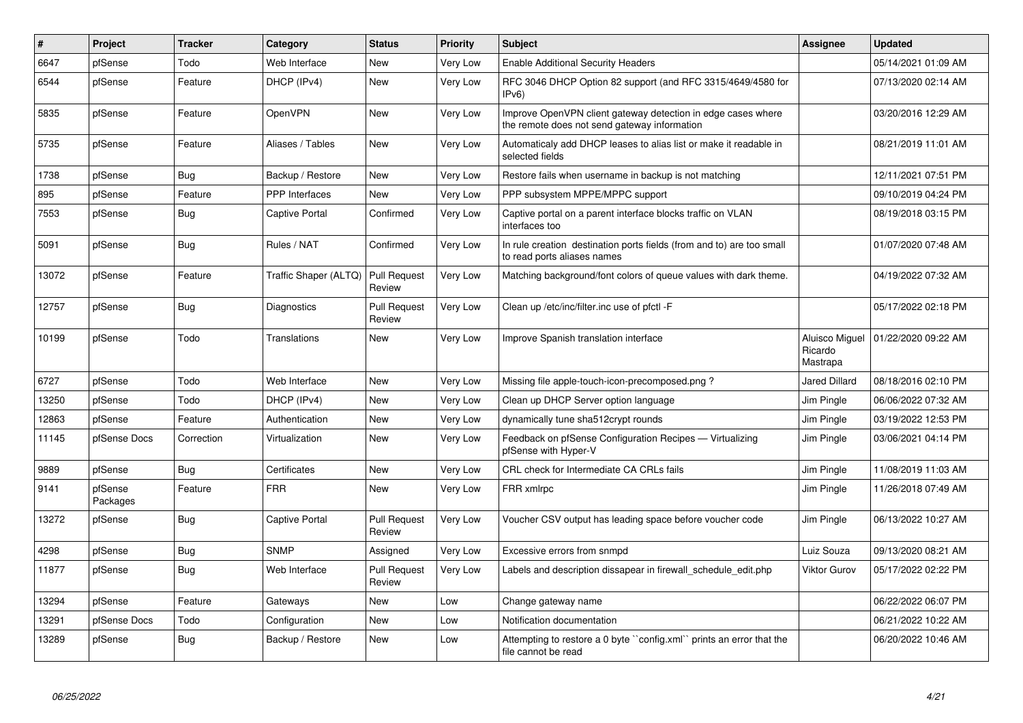| #     | Project             | <b>Tracker</b> | Category              | <b>Status</b>                 | <b>Priority</b> | <b>Subject</b>                                                                                               | Assignee                              | <b>Updated</b>      |
|-------|---------------------|----------------|-----------------------|-------------------------------|-----------------|--------------------------------------------------------------------------------------------------------------|---------------------------------------|---------------------|
| 6647  | pfSense             | Todo           | Web Interface         | New                           | Very Low        | <b>Enable Additional Security Headers</b>                                                                    |                                       | 05/14/2021 01:09 AM |
| 6544  | pfSense             | Feature        | DHCP (IPv4)           | New                           | Very Low        | RFC 3046 DHCP Option 82 support (and RFC 3315/4649/4580 for<br>IPv6                                          |                                       | 07/13/2020 02:14 AM |
| 5835  | pfSense             | Feature        | OpenVPN               | <b>New</b>                    | Very Low        | Improve OpenVPN client gateway detection in edge cases where<br>the remote does not send gateway information |                                       | 03/20/2016 12:29 AM |
| 5735  | pfSense             | Feature        | Aliases / Tables      | <b>New</b>                    | Very Low        | Automaticaly add DHCP leases to alias list or make it readable in<br>selected fields                         |                                       | 08/21/2019 11:01 AM |
| 1738  | pfSense             | Bug            | Backup / Restore      | New                           | Very Low        | Restore fails when username in backup is not matching                                                        |                                       | 12/11/2021 07:51 PM |
| 895   | pfSense             | Feature        | <b>PPP</b> Interfaces | New                           | Very Low        | PPP subsystem MPPE/MPPC support                                                                              |                                       | 09/10/2019 04:24 PM |
| 7553  | pfSense             | Bug            | <b>Captive Portal</b> | Confirmed                     | Very Low        | Captive portal on a parent interface blocks traffic on VLAN<br>interfaces too                                |                                       | 08/19/2018 03:15 PM |
| 5091  | pfSense             | <b>Bug</b>     | Rules / NAT           | Confirmed                     | Very Low        | In rule creation destination ports fields (from and to) are too small<br>to read ports aliases names         |                                       | 01/07/2020 07:48 AM |
| 13072 | pfSense             | Feature        | Traffic Shaper (ALTQ) | <b>Pull Request</b><br>Review | Very Low        | Matching background/font colors of queue values with dark theme.                                             |                                       | 04/19/2022 07:32 AM |
| 12757 | pfSense             | Bug            | Diagnostics           | <b>Pull Request</b><br>Review | Very Low        | Clean up /etc/inc/filter.inc use of pfctl -F                                                                 |                                       | 05/17/2022 02:18 PM |
| 10199 | pfSense             | Todo           | Translations          | New                           | Very Low        | Improve Spanish translation interface                                                                        | Aluisco Miguel<br>Ricardo<br>Mastrapa | 01/22/2020 09:22 AM |
| 6727  | pfSense             | Todo           | Web Interface         | <b>New</b>                    | Very Low        | Missing file apple-touch-icon-precomposed.png?                                                               | <b>Jared Dillard</b>                  | 08/18/2016 02:10 PM |
| 13250 | pfSense             | Todo           | DHCP (IPv4)           | New                           | Very Low        | Clean up DHCP Server option language                                                                         | Jim Pingle                            | 06/06/2022 07:32 AM |
| 12863 | pfSense             | Feature        | Authentication        | New                           | Very Low        | dynamically tune sha512crypt rounds                                                                          | Jim Pingle                            | 03/19/2022 12:53 PM |
| 11145 | pfSense Docs        | Correction     | Virtualization        | New                           | Very Low        | Feedback on pfSense Configuration Recipes - Virtualizing<br>pfSense with Hyper-V                             | Jim Pingle                            | 03/06/2021 04:14 PM |
| 9889  | pfSense             | Bug            | Certificates          | New                           | Very Low        | CRL check for Intermediate CA CRLs fails                                                                     | Jim Pingle                            | 11/08/2019 11:03 AM |
| 9141  | pfSense<br>Packages | Feature        | <b>FRR</b>            | New                           | Very Low        | FRR xmlrpc                                                                                                   | Jim Pingle                            | 11/26/2018 07:49 AM |
| 13272 | pfSense             | <b>Bug</b>     | <b>Captive Portal</b> | <b>Pull Request</b><br>Review | Very Low        | Voucher CSV output has leading space before voucher code                                                     | Jim Pingle                            | 06/13/2022 10:27 AM |
| 4298  | pfSense             | <b>Bug</b>     | <b>SNMP</b>           | Assigned                      | Very Low        | Excessive errors from snmpd                                                                                  | Luiz Souza                            | 09/13/2020 08:21 AM |
| 11877 | pfSense             | Bug            | Web Interface         | <b>Pull Request</b><br>Review | Very Low        | Labels and description dissapear in firewall schedule edit.php                                               | Viktor Gurov                          | 05/17/2022 02:22 PM |
| 13294 | pfSense             | Feature        | Gateways              | New                           | Low             | Change gateway name                                                                                          |                                       | 06/22/2022 06:07 PM |
| 13291 | pfSense Docs        | Todo           | Configuration         | New                           | Low             | Notification documentation                                                                                   |                                       | 06/21/2022 10:22 AM |
| 13289 | pfSense             | <b>Bug</b>     | Backup / Restore      | New                           | Low             | Attempting to restore a 0 byte "config.xml" prints an error that the<br>file cannot be read                  |                                       | 06/20/2022 10:46 AM |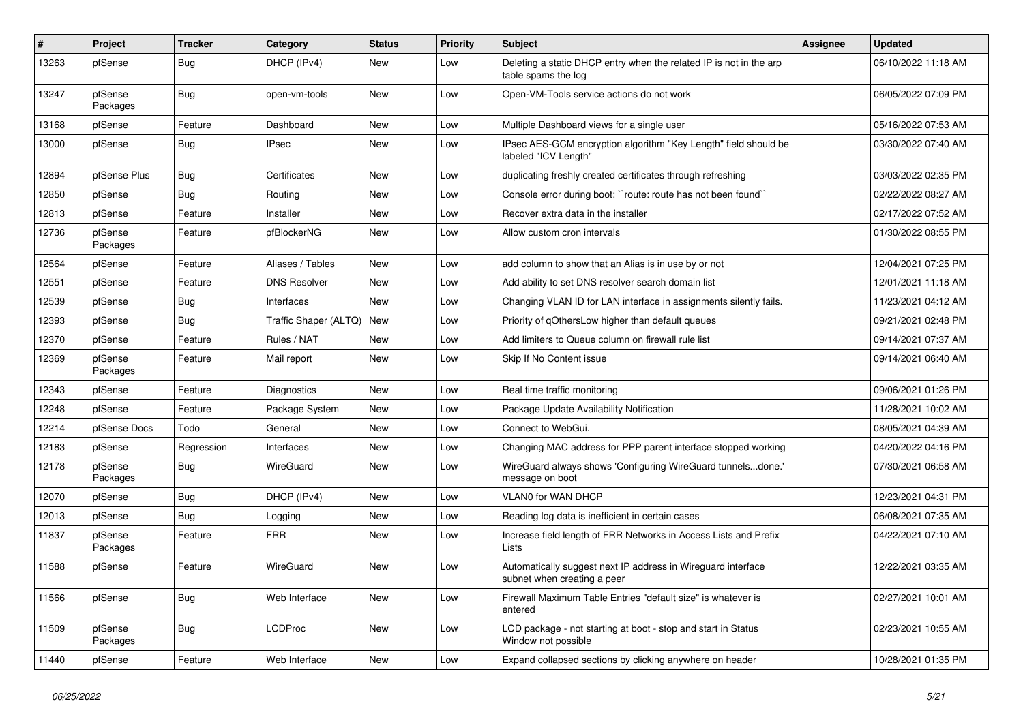| $\vert$ # | Project             | <b>Tracker</b> | Category              | <b>Status</b> | <b>Priority</b> | <b>Subject</b>                                                                              | Assignee | <b>Updated</b>      |
|-----------|---------------------|----------------|-----------------------|---------------|-----------------|---------------------------------------------------------------------------------------------|----------|---------------------|
| 13263     | pfSense             | <b>Bug</b>     | DHCP (IPv4)           | <b>New</b>    | Low             | Deleting a static DHCP entry when the related IP is not in the arp<br>table spams the log   |          | 06/10/2022 11:18 AM |
| 13247     | pfSense<br>Packages | Bug            | open-vm-tools         | New           | Low             | Open-VM-Tools service actions do not work                                                   |          | 06/05/2022 07:09 PM |
| 13168     | pfSense             | Feature        | Dashboard             | <b>New</b>    | Low             | Multiple Dashboard views for a single user                                                  |          | 05/16/2022 07:53 AM |
| 13000     | pfSense             | <b>Bug</b>     | IPsec                 | New           | Low             | IPsec AES-GCM encryption algorithm "Key Length" field should be<br>labeled "ICV Length"     |          | 03/30/2022 07:40 AM |
| 12894     | pfSense Plus        | Bug            | Certificates          | New           | Low             | duplicating freshly created certificates through refreshing                                 |          | 03/03/2022 02:35 PM |
| 12850     | pfSense             | Bug            | Routing               | New           | Low             | Console error during boot: "route: route has not been found"                                |          | 02/22/2022 08:27 AM |
| 12813     | pfSense             | Feature        | Installer             | New           | Low             | Recover extra data in the installer                                                         |          | 02/17/2022 07:52 AM |
| 12736     | pfSense<br>Packages | Feature        | pfBlockerNG           | New           | Low             | Allow custom cron intervals                                                                 |          | 01/30/2022 08:55 PM |
| 12564     | pfSense             | Feature        | Aliases / Tables      | <b>New</b>    | Low             | add column to show that an Alias is in use by or not                                        |          | 12/04/2021 07:25 PM |
| 12551     | pfSense             | Feature        | <b>DNS Resolver</b>   | <b>New</b>    | Low             | Add ability to set DNS resolver search domain list                                          |          | 12/01/2021 11:18 AM |
| 12539     | pfSense             | Bug            | Interfaces            | <b>New</b>    | Low             | Changing VLAN ID for LAN interface in assignments silently fails.                           |          | 11/23/2021 04:12 AM |
| 12393     | pfSense             | <b>Bug</b>     | Traffic Shaper (ALTQ) | <b>New</b>    | Low             | Priority of qOthersLow higher than default queues                                           |          | 09/21/2021 02:48 PM |
| 12370     | pfSense             | Feature        | Rules / NAT           | <b>New</b>    | Low             | Add limiters to Queue column on firewall rule list                                          |          | 09/14/2021 07:37 AM |
| 12369     | pfSense<br>Packages | Feature        | Mail report           | <b>New</b>    | Low             | Skip If No Content issue                                                                    |          | 09/14/2021 06:40 AM |
| 12343     | pfSense             | Feature        | Diagnostics           | New           | Low             | Real time traffic monitoring                                                                |          | 09/06/2021 01:26 PM |
| 12248     | pfSense             | Feature        | Package System        | New           | Low             | Package Update Availability Notification                                                    |          | 11/28/2021 10:02 AM |
| 12214     | pfSense Docs        | Todo           | General               | <b>New</b>    | Low             | Connect to WebGui.                                                                          |          | 08/05/2021 04:39 AM |
| 12183     | pfSense             | Regression     | Interfaces            | New           | Low             | Changing MAC address for PPP parent interface stopped working                               |          | 04/20/2022 04:16 PM |
| 12178     | pfSense<br>Packages | Bug            | WireGuard             | New           | Low             | WireGuard always shows 'Configuring WireGuard tunnelsdone.'<br>message on boot              |          | 07/30/2021 06:58 AM |
| 12070     | pfSense             | Bug            | DHCP (IPv4)           | <b>New</b>    | Low             | VLAN0 for WAN DHCP                                                                          |          | 12/23/2021 04:31 PM |
| 12013     | pfSense             | Bug            | Logging               | New           | Low             | Reading log data is inefficient in certain cases                                            |          | 06/08/2021 07:35 AM |
| 11837     | pfSense<br>Packages | Feature        | <b>FRR</b>            | New           | Low             | Increase field length of FRR Networks in Access Lists and Prefix<br>Lists                   |          | 04/22/2021 07:10 AM |
| 11588     | pfSense             | Feature        | WireGuard             | New           | Low             | Automatically suggest next IP address in Wireguard interface<br>subnet when creating a peer |          | 12/22/2021 03:35 AM |
| 11566     | pfSense             | <b>Bug</b>     | Web Interface         | New           | Low             | Firewall Maximum Table Entries "default size" is whatever is<br>entered                     |          | 02/27/2021 10:01 AM |
| 11509     | pfSense<br>Packages | Bug            | <b>LCDProc</b>        | <b>New</b>    | Low             | LCD package - not starting at boot - stop and start in Status<br>Window not possible        |          | 02/23/2021 10:55 AM |
| 11440     | pfSense             | Feature        | Web Interface         | New           | Low             | Expand collapsed sections by clicking anywhere on header                                    |          | 10/28/2021 01:35 PM |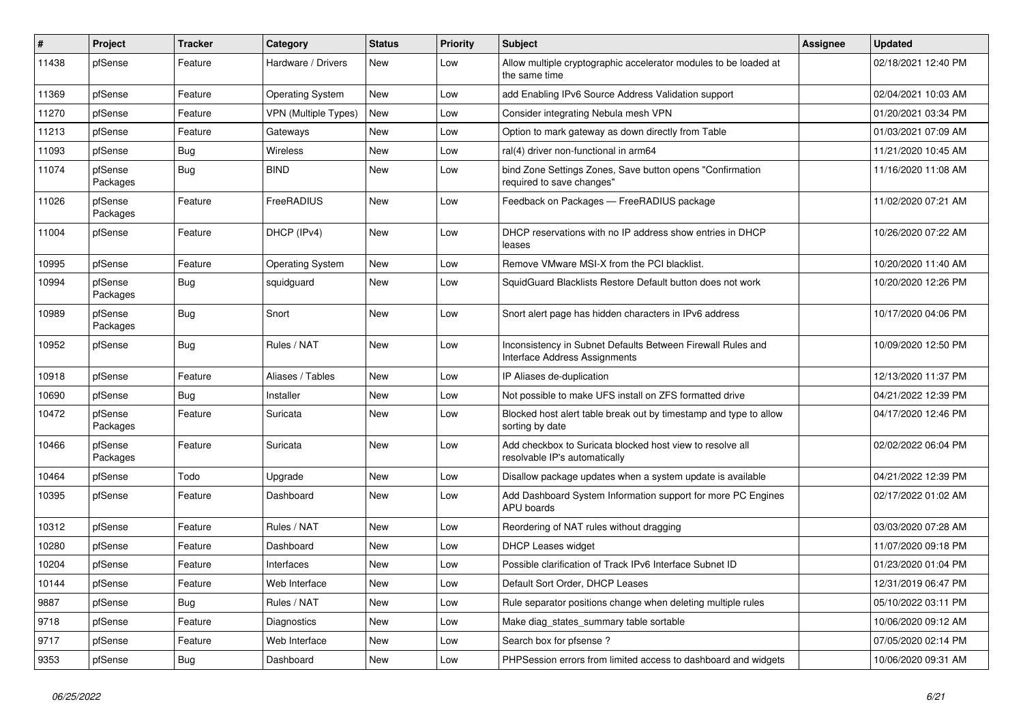| $\vert$ # | Project             | <b>Tracker</b> | Category                    | <b>Status</b> | <b>Priority</b> | <b>Subject</b>                                                                               | <b>Assignee</b> | <b>Updated</b>      |
|-----------|---------------------|----------------|-----------------------------|---------------|-----------------|----------------------------------------------------------------------------------------------|-----------------|---------------------|
| 11438     | pfSense             | Feature        | Hardware / Drivers          | <b>New</b>    | Low             | Allow multiple cryptographic accelerator modules to be loaded at<br>the same time            |                 | 02/18/2021 12:40 PM |
| 11369     | pfSense             | Feature        | <b>Operating System</b>     | New           | Low             | add Enabling IPv6 Source Address Validation support                                          |                 | 02/04/2021 10:03 AM |
| 11270     | pfSense             | Feature        | <b>VPN</b> (Multiple Types) | New           | Low             | Consider integrating Nebula mesh VPN                                                         |                 | 01/20/2021 03:34 PM |
| 11213     | pfSense             | Feature        | Gateways                    | New           | Low             | Option to mark gateway as down directly from Table                                           |                 | 01/03/2021 07:09 AM |
| 11093     | pfSense             | Bug            | <b>Wireless</b>             | New           | Low             | ral(4) driver non-functional in arm64                                                        |                 | 11/21/2020 10:45 AM |
| 11074     | pfSense<br>Packages | Bug            | <b>BIND</b>                 | New           | Low             | bind Zone Settings Zones, Save button opens "Confirmation<br>required to save changes"       |                 | 11/16/2020 11:08 AM |
| 11026     | pfSense<br>Packages | Feature        | FreeRADIUS                  | New           | Low             | Feedback on Packages - FreeRADIUS package                                                    |                 | 11/02/2020 07:21 AM |
| 11004     | pfSense             | Feature        | DHCP (IPv4)                 | New           | Low             | DHCP reservations with no IP address show entries in DHCP<br>leases                          |                 | 10/26/2020 07:22 AM |
| 10995     | pfSense             | Feature        | <b>Operating System</b>     | New           | Low             | Remove VMware MSI-X from the PCI blacklist.                                                  |                 | 10/20/2020 11:40 AM |
| 10994     | pfSense<br>Packages | Bug            | squidguard                  | New           | Low             | SquidGuard Blacklists Restore Default button does not work                                   |                 | 10/20/2020 12:26 PM |
| 10989     | pfSense<br>Packages | Bug            | Snort                       | <b>New</b>    | Low             | Snort alert page has hidden characters in IPv6 address                                       |                 | 10/17/2020 04:06 PM |
| 10952     | pfSense             | <b>Bug</b>     | Rules / NAT                 | New           | Low             | Inconsistency in Subnet Defaults Between Firewall Rules and<br>Interface Address Assignments |                 | 10/09/2020 12:50 PM |
| 10918     | pfSense             | Feature        | Aliases / Tables            | New           | Low             | IP Aliases de-duplication                                                                    |                 | 12/13/2020 11:37 PM |
| 10690     | pfSense             | Bug            | Installer                   | New           | Low             | Not possible to make UFS install on ZFS formatted drive                                      |                 | 04/21/2022 12:39 PM |
| 10472     | pfSense<br>Packages | Feature        | Suricata                    | New           | Low             | Blocked host alert table break out by timestamp and type to allow<br>sorting by date         |                 | 04/17/2020 12:46 PM |
| 10466     | pfSense<br>Packages | Feature        | Suricata                    | <b>New</b>    | Low             | Add checkbox to Suricata blocked host view to resolve all<br>resolvable IP's automatically   |                 | 02/02/2022 06:04 PM |
| 10464     | pfSense             | Todo           | Upgrade                     | New           | Low             | Disallow package updates when a system update is available                                   |                 | 04/21/2022 12:39 PM |
| 10395     | pfSense             | Feature        | Dashboard                   | New           | Low             | Add Dashboard System Information support for more PC Engines<br>APU boards                   |                 | 02/17/2022 01:02 AM |
| 10312     | pfSense             | Feature        | Rules / NAT                 | New           | Low             | Reordering of NAT rules without dragging                                                     |                 | 03/03/2020 07:28 AM |
| 10280     | pfSense             | Feature        | Dashboard                   | New           | Low             | <b>DHCP Leases widget</b>                                                                    |                 | 11/07/2020 09:18 PM |
| 10204     | pfSense             | Feature        | Interfaces                  | New           | Low             | Possible clarification of Track IPv6 Interface Subnet ID                                     |                 | 01/23/2020 01:04 PM |
| 10144     | pfSense             | Feature        | Web Interface               | New           | Low             | Default Sort Order, DHCP Leases                                                              |                 | 12/31/2019 06:47 PM |
| 9887      | pfSense             | Bug            | Rules / NAT                 | New           | Low             | Rule separator positions change when deleting multiple rules                                 |                 | 05/10/2022 03:11 PM |
| 9718      | pfSense             | Feature        | Diagnostics                 | New           | Low             | Make diag states summary table sortable                                                      |                 | 10/06/2020 09:12 AM |
| 9717      | pfSense             | Feature        | Web Interface               | New           | Low             | Search box for pfsense?                                                                      |                 | 07/05/2020 02:14 PM |
| 9353      | pfSense             | Bug            | Dashboard                   | New           | Low             | PHPSession errors from limited access to dashboard and widgets                               |                 | 10/06/2020 09:31 AM |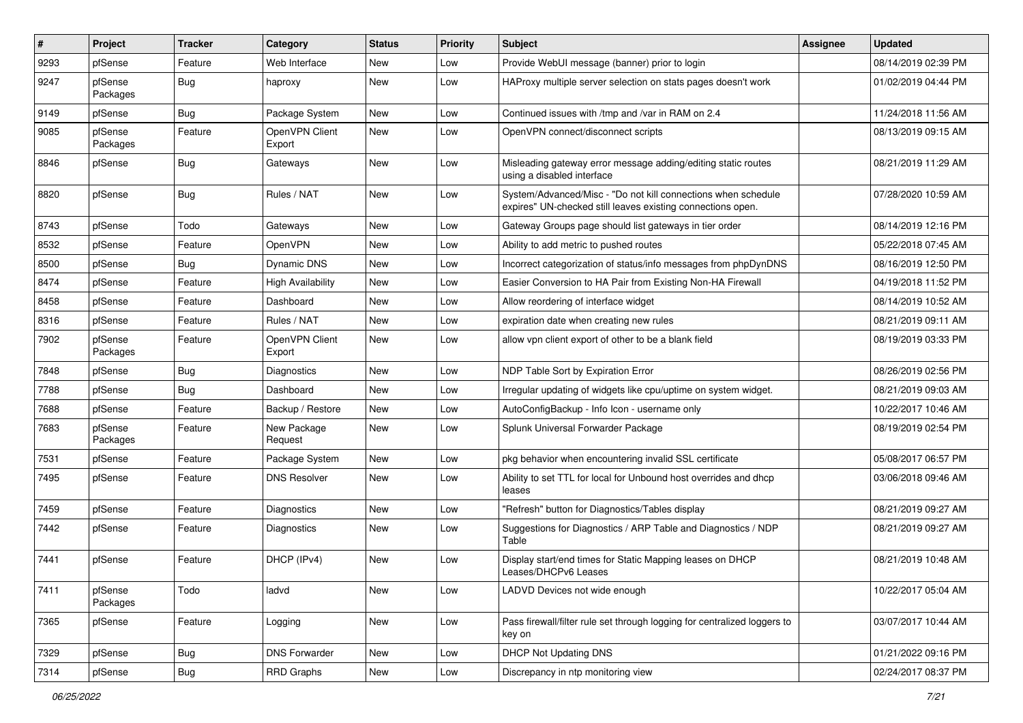| #    | Project             | <b>Tracker</b> | Category                 | <b>Status</b> | <b>Priority</b> | Subject                                                                                                                      | <b>Assignee</b> | <b>Updated</b>      |
|------|---------------------|----------------|--------------------------|---------------|-----------------|------------------------------------------------------------------------------------------------------------------------------|-----------------|---------------------|
| 9293 | pfSense             | Feature        | Web Interface            | New           | Low             | Provide WebUI message (banner) prior to login                                                                                |                 | 08/14/2019 02:39 PM |
| 9247 | pfSense<br>Packages | <b>Bug</b>     | haproxy                  | New           | Low             | HAProxy multiple server selection on stats pages doesn't work                                                                |                 | 01/02/2019 04:44 PM |
| 9149 | pfSense             | <b>Bug</b>     | Package System           | New           | Low             | Continued issues with /tmp and /var in RAM on 2.4                                                                            |                 | 11/24/2018 11:56 AM |
| 9085 | pfSense<br>Packages | Feature        | OpenVPN Client<br>Export | New           | Low             | OpenVPN connect/disconnect scripts                                                                                           |                 | 08/13/2019 09:15 AM |
| 8846 | pfSense             | <b>Bug</b>     | Gateways                 | New           | Low             | Misleading gateway error message adding/editing static routes<br>using a disabled interface                                  |                 | 08/21/2019 11:29 AM |
| 8820 | pfSense             | Bug            | Rules / NAT              | New           | Low             | System/Advanced/Misc - "Do not kill connections when schedule<br>expires" UN-checked still leaves existing connections open. |                 | 07/28/2020 10:59 AM |
| 8743 | pfSense             | Todo           | Gateways                 | New           | Low             | Gateway Groups page should list gateways in tier order                                                                       |                 | 08/14/2019 12:16 PM |
| 8532 | pfSense             | Feature        | OpenVPN                  | New           | Low             | Ability to add metric to pushed routes                                                                                       |                 | 05/22/2018 07:45 AM |
| 8500 | pfSense             | <b>Bug</b>     | <b>Dynamic DNS</b>       | New           | Low             | Incorrect categorization of status/info messages from phpDynDNS                                                              |                 | 08/16/2019 12:50 PM |
| 8474 | pfSense             | Feature        | <b>High Availability</b> | New           | Low             | Easier Conversion to HA Pair from Existing Non-HA Firewall                                                                   |                 | 04/19/2018 11:52 PM |
| 8458 | pfSense             | Feature        | Dashboard                | New           | Low             | Allow reordering of interface widget                                                                                         |                 | 08/14/2019 10:52 AM |
| 8316 | pfSense             | Feature        | Rules / NAT              | New           | Low             | expiration date when creating new rules                                                                                      |                 | 08/21/2019 09:11 AM |
| 7902 | pfSense<br>Packages | Feature        | OpenVPN Client<br>Export | New           | Low             | allow vpn client export of other to be a blank field                                                                         |                 | 08/19/2019 03:33 PM |
| 7848 | pfSense             | <b>Bug</b>     | Diagnostics              | New           | Low             | NDP Table Sort by Expiration Error                                                                                           |                 | 08/26/2019 02:56 PM |
| 7788 | pfSense             | <b>Bug</b>     | Dashboard                | New           | Low             | Irregular updating of widgets like cpu/uptime on system widget.                                                              |                 | 08/21/2019 09:03 AM |
| 7688 | pfSense             | Feature        | Backup / Restore         | New           | Low             | AutoConfigBackup - Info Icon - username only                                                                                 |                 | 10/22/2017 10:46 AM |
| 7683 | pfSense<br>Packages | Feature        | New Package<br>Request   | New           | Low             | Splunk Universal Forwarder Package                                                                                           |                 | 08/19/2019 02:54 PM |
| 7531 | pfSense             | Feature        | Package System           | <b>New</b>    | Low             | pkg behavior when encountering invalid SSL certificate                                                                       |                 | 05/08/2017 06:57 PM |
| 7495 | pfSense             | Feature        | <b>DNS Resolver</b>      | New           | Low             | Ability to set TTL for local for Unbound host overrides and dhcp<br>leases                                                   |                 | 03/06/2018 09:46 AM |
| 7459 | pfSense             | Feature        | Diagnostics              | New           | Low             | 'Refresh" button for Diagnostics/Tables display                                                                              |                 | 08/21/2019 09:27 AM |
| 7442 | pfSense             | Feature        | Diagnostics              | New           | Low             | Suggestions for Diagnostics / ARP Table and Diagnostics / NDP<br>Table                                                       |                 | 08/21/2019 09:27 AM |
| 7441 | pfSense             | Feature        | DHCP (IPv4)              | New           | Low             | Display start/end times for Static Mapping leases on DHCP<br>Leases/DHCPv6 Leases                                            |                 | 08/21/2019 10:48 AM |
| 7411 | pfSense<br>Packages | Todo           | ladvd                    | New           | Low             | LADVD Devices not wide enough                                                                                                |                 | 10/22/2017 05:04 AM |
| 7365 | pfSense             | Feature        | Logging                  | New           | Low             | Pass firewall/filter rule set through logging for centralized loggers to<br>key on                                           |                 | 03/07/2017 10:44 AM |
| 7329 | pfSense             | <b>Bug</b>     | <b>DNS Forwarder</b>     | New           | Low             | <b>DHCP Not Updating DNS</b>                                                                                                 |                 | 01/21/2022 09:16 PM |
| 7314 | pfSense             | Bug            | <b>RRD Graphs</b>        | New           | Low             | Discrepancy in ntp monitoring view                                                                                           |                 | 02/24/2017 08:37 PM |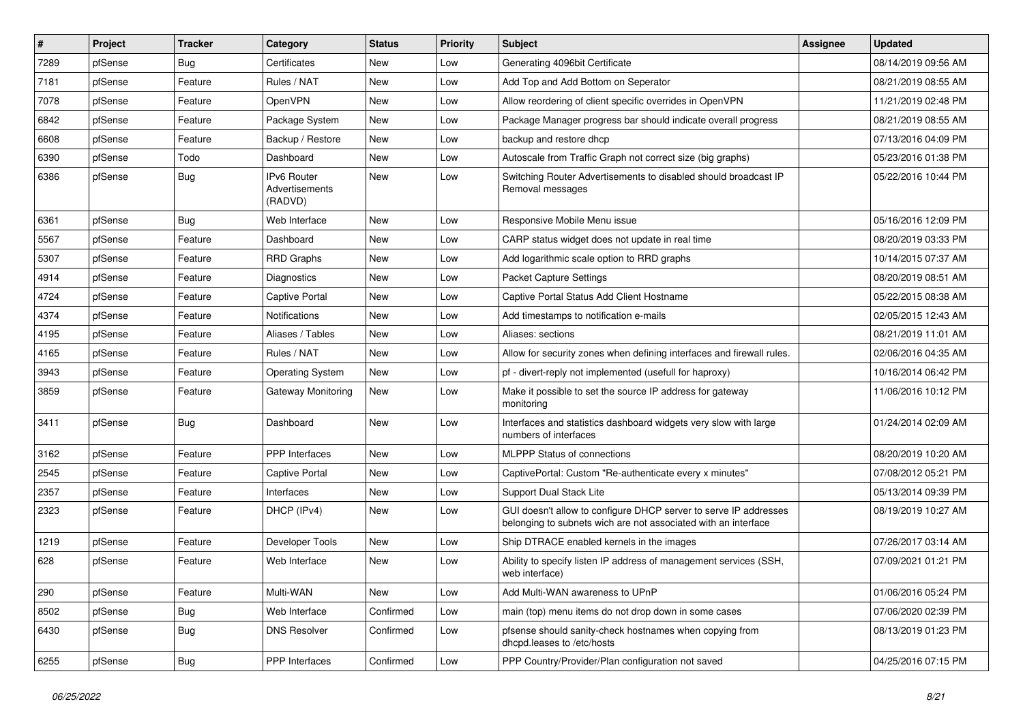| $\sharp$ | Project | <b>Tracker</b> | Category                                 | <b>Status</b> | <b>Priority</b> | Subject                                                                                                                            | <b>Assignee</b> | <b>Updated</b>      |
|----------|---------|----------------|------------------------------------------|---------------|-----------------|------------------------------------------------------------------------------------------------------------------------------------|-----------------|---------------------|
| 7289     | pfSense | Bug            | Certificates                             | New           | Low             | Generating 4096bit Certificate                                                                                                     |                 | 08/14/2019 09:56 AM |
| 7181     | pfSense | Feature        | Rules / NAT                              | New           | Low             | Add Top and Add Bottom on Seperator                                                                                                |                 | 08/21/2019 08:55 AM |
| 7078     | pfSense | Feature        | OpenVPN                                  | New           | Low             | Allow reordering of client specific overrides in OpenVPN                                                                           |                 | 11/21/2019 02:48 PM |
| 6842     | pfSense | Feature        | Package System                           | New           | Low             | Package Manager progress bar should indicate overall progress                                                                      |                 | 08/21/2019 08:55 AM |
| 6608     | pfSense | Feature        | Backup / Restore                         | New           | Low             | backup and restore dhcp                                                                                                            |                 | 07/13/2016 04:09 PM |
| 6390     | pfSense | Todo           | Dashboard                                | New           | Low             | Autoscale from Traffic Graph not correct size (big graphs)                                                                         |                 | 05/23/2016 01:38 PM |
| 6386     | pfSense | Bug            | IPv6 Router<br>Advertisements<br>(RADVD) | New           | Low             | Switching Router Advertisements to disabled should broadcast IP<br>Removal messages                                                |                 | 05/22/2016 10:44 PM |
| 6361     | pfSense | Bug            | Web Interface                            | New           | Low             | Responsive Mobile Menu issue                                                                                                       |                 | 05/16/2016 12:09 PM |
| 5567     | pfSense | Feature        | Dashboard                                | <b>New</b>    | Low             | CARP status widget does not update in real time                                                                                    |                 | 08/20/2019 03:33 PM |
| 5307     | pfSense | Feature        | <b>RRD Graphs</b>                        | New           | Low             | Add logarithmic scale option to RRD graphs                                                                                         |                 | 10/14/2015 07:37 AM |
| 4914     | pfSense | Feature        | Diagnostics                              | New           | Low             | <b>Packet Capture Settings</b>                                                                                                     |                 | 08/20/2019 08:51 AM |
| 4724     | pfSense | Feature        | <b>Captive Portal</b>                    | New           | Low             | Captive Portal Status Add Client Hostname                                                                                          |                 | 05/22/2015 08:38 AM |
| 4374     | pfSense | Feature        | <b>Notifications</b>                     | New           | Low             | Add timestamps to notification e-mails                                                                                             |                 | 02/05/2015 12:43 AM |
| 4195     | pfSense | Feature        | Aliases / Tables                         | New           | Low             | Aliases: sections                                                                                                                  |                 | 08/21/2019 11:01 AM |
| 4165     | pfSense | Feature        | Rules / NAT                              | New           | Low             | Allow for security zones when defining interfaces and firewall rules.                                                              |                 | 02/06/2016 04:35 AM |
| 3943     | pfSense | Feature        | <b>Operating System</b>                  | New           | Low             | pf - divert-reply not implemented (usefull for haproxy)                                                                            |                 | 10/16/2014 06:42 PM |
| 3859     | pfSense | Feature        | <b>Gateway Monitoring</b>                | New           | Low             | Make it possible to set the source IP address for gateway<br>monitoring                                                            |                 | 11/06/2016 10:12 PM |
| 3411     | pfSense | <b>Bug</b>     | Dashboard                                | New           | Low             | Interfaces and statistics dashboard widgets very slow with large<br>numbers of interfaces                                          |                 | 01/24/2014 02:09 AM |
| 3162     | pfSense | Feature        | <b>PPP</b> Interfaces                    | New           | Low             | <b>MLPPP Status of connections</b>                                                                                                 |                 | 08/20/2019 10:20 AM |
| 2545     | pfSense | Feature        | <b>Captive Portal</b>                    | New           | Low             | CaptivePortal: Custom "Re-authenticate every x minutes"                                                                            |                 | 07/08/2012 05:21 PM |
| 2357     | pfSense | Feature        | Interfaces                               | New           | Low             | Support Dual Stack Lite                                                                                                            |                 | 05/13/2014 09:39 PM |
| 2323     | pfSense | Feature        | DHCP (IPv4)                              | New           | Low             | GUI doesn't allow to configure DHCP server to serve IP addresses<br>belonging to subnets wich are not associated with an interface |                 | 08/19/2019 10:27 AM |
| 1219     | pfSense | Feature        | Developer Tools                          | New           | Low             | Ship DTRACE enabled kernels in the images                                                                                          |                 | 07/26/2017 03:14 AM |
| 628      | pfSense | Feature        | Web Interface                            | New           | Low             | Ability to specify listen IP address of management services (SSH,<br>web interface)                                                |                 | 07/09/2021 01:21 PM |
| 290      | pfSense | Feature        | Multi-WAN                                | New           | Low             | Add Multi-WAN awareness to UPnP                                                                                                    |                 | 01/06/2016 05:24 PM |
| 8502     | pfSense | <b>Bug</b>     | Web Interface                            | Confirmed     | Low             | main (top) menu items do not drop down in some cases                                                                               |                 | 07/06/2020 02:39 PM |
| 6430     | pfSense | <b>Bug</b>     | <b>DNS Resolver</b>                      | Confirmed     | Low             | pfsense should sanity-check hostnames when copying from<br>dhcpd.leases to /etc/hosts                                              |                 | 08/13/2019 01:23 PM |
| 6255     | pfSense | Bug            | PPP Interfaces                           | Confirmed     | Low             | PPP Country/Provider/Plan configuration not saved                                                                                  |                 | 04/25/2016 07:15 PM |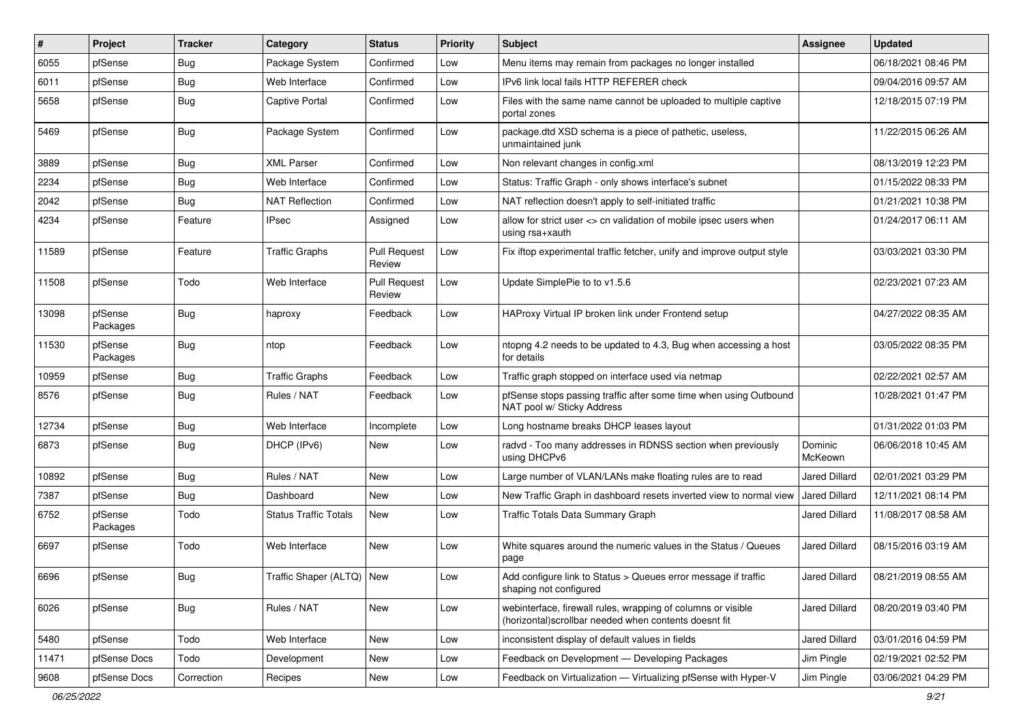| #     | Project             | <b>Tracker</b> | Category                     | <b>Status</b>                 | <b>Priority</b> | Subject                                                                                                                | Assignee             | <b>Updated</b>      |
|-------|---------------------|----------------|------------------------------|-------------------------------|-----------------|------------------------------------------------------------------------------------------------------------------------|----------------------|---------------------|
| 6055  | pfSense             | Bug            | Package System               | Confirmed                     | Low             | Menu items may remain from packages no longer installed                                                                |                      | 06/18/2021 08:46 PM |
| 6011  | pfSense             | <b>Bug</b>     | Web Interface                | Confirmed                     | Low             | IPv6 link local fails HTTP REFERER check                                                                               |                      | 09/04/2016 09:57 AM |
| 5658  | pfSense             | <b>Bug</b>     | <b>Captive Portal</b>        | Confirmed                     | Low             | Files with the same name cannot be uploaded to multiple captive<br>portal zones                                        |                      | 12/18/2015 07:19 PM |
| 5469  | pfSense             | <b>Bug</b>     | Package System               | Confirmed                     | Low             | package.dtd XSD schema is a piece of pathetic, useless,<br>unmaintained junk                                           |                      | 11/22/2015 06:26 AM |
| 3889  | pfSense             | <b>Bug</b>     | <b>XML Parser</b>            | Confirmed                     | Low             | Non relevant changes in config.xml                                                                                     |                      | 08/13/2019 12:23 PM |
| 2234  | pfSense             | <b>Bug</b>     | Web Interface                | Confirmed                     | Low             | Status: Traffic Graph - only shows interface's subnet                                                                  |                      | 01/15/2022 08:33 PM |
| 2042  | pfSense             | Bug            | <b>NAT Reflection</b>        | Confirmed                     | Low             | NAT reflection doesn't apply to self-initiated traffic                                                                 |                      | 01/21/2021 10:38 PM |
| 4234  | pfSense             | Feature        | <b>IPsec</b>                 | Assigned                      | Low             | allow for strict user <> cn validation of mobile ipsec users when<br>using rsa+xauth                                   |                      | 01/24/2017 06:11 AM |
| 11589 | pfSense             | Feature        | <b>Traffic Graphs</b>        | <b>Pull Request</b><br>Review | Low             | Fix iftop experimental traffic fetcher, unify and improve output style                                                 |                      | 03/03/2021 03:30 PM |
| 11508 | pfSense             | Todo           | Web Interface                | <b>Pull Request</b><br>Review | Low             | Update SimplePie to to v1.5.6                                                                                          |                      | 02/23/2021 07:23 AM |
| 13098 | pfSense<br>Packages | <b>Bug</b>     | haproxy                      | Feedback                      | Low             | HAProxy Virtual IP broken link under Frontend setup                                                                    |                      | 04/27/2022 08:35 AM |
| 11530 | pfSense<br>Packages | Bug            | ntop                         | Feedback                      | Low             | ntopng 4.2 needs to be updated to 4.3, Bug when accessing a host<br>for details                                        |                      | 03/05/2022 08:35 PM |
| 10959 | pfSense             | <b>Bug</b>     | <b>Traffic Graphs</b>        | Feedback                      | Low             | Traffic graph stopped on interface used via netmap                                                                     |                      | 02/22/2021 02:57 AM |
| 8576  | pfSense             | <b>Bug</b>     | Rules / NAT                  | Feedback                      | Low             | pfSense stops passing traffic after some time when using Outbound<br>NAT pool w/ Sticky Address                        |                      | 10/28/2021 01:47 PM |
| 12734 | pfSense             | Bug            | Web Interface                | Incomplete                    | Low             | Long hostname breaks DHCP leases layout                                                                                |                      | 01/31/2022 01:03 PM |
| 6873  | pfSense             | <b>Bug</b>     | DHCP (IPv6)                  | New                           | Low             | radvd - Too many addresses in RDNSS section when previously<br>using DHCPv6                                            | Dominic<br>McKeown   | 06/06/2018 10:45 AM |
| 10892 | pfSense             | <b>Bug</b>     | Rules / NAT                  | New                           | Low             | Large number of VLAN/LANs make floating rules are to read                                                              | <b>Jared Dillard</b> | 02/01/2021 03:29 PM |
| 7387  | pfSense             | <b>Bug</b>     | Dashboard                    | <b>New</b>                    | Low             | New Traffic Graph in dashboard resets inverted view to normal view                                                     | <b>Jared Dillard</b> | 12/11/2021 08:14 PM |
| 6752  | pfSense<br>Packages | Todo           | <b>Status Traffic Totals</b> | New                           | Low             | <b>Traffic Totals Data Summary Graph</b>                                                                               | Jared Dillard        | 11/08/2017 08:58 AM |
| 6697  | pfSense             | Todo           | Web Interface                | <b>New</b>                    | Low             | White squares around the numeric values in the Status / Queues<br>page                                                 | Jared Dillard        | 08/15/2016 03:19 AM |
| 6696  | pfSense             | Bug            | Traffic Shaper (ALTQ) New    |                               | Low             | Add configure link to Status > Queues error message if traffic<br>shaping not configured                               | Jared Dillard        | 08/21/2019 08:55 AM |
| 6026  | pfSense             | Bug            | Rules / NAT                  | New                           | Low             | webinterface, firewall rules, wrapping of columns or visible<br>(horizontal) scrollbar needed when contents doesnt fit | <b>Jared Dillard</b> | 08/20/2019 03:40 PM |
| 5480  | pfSense             | Todo           | Web Interface                | New                           | Low             | inconsistent display of default values in fields                                                                       | Jared Dillard        | 03/01/2016 04:59 PM |
| 11471 | pfSense Docs        | Todo           | Development                  | New                           | Low             | Feedback on Development - Developing Packages                                                                          | Jim Pingle           | 02/19/2021 02:52 PM |
| 9608  | pfSense Docs        | Correction     | Recipes                      | New                           | Low             | Feedback on Virtualization - Virtualizing pfSense with Hyper-V                                                         | Jim Pingle           | 03/06/2021 04:29 PM |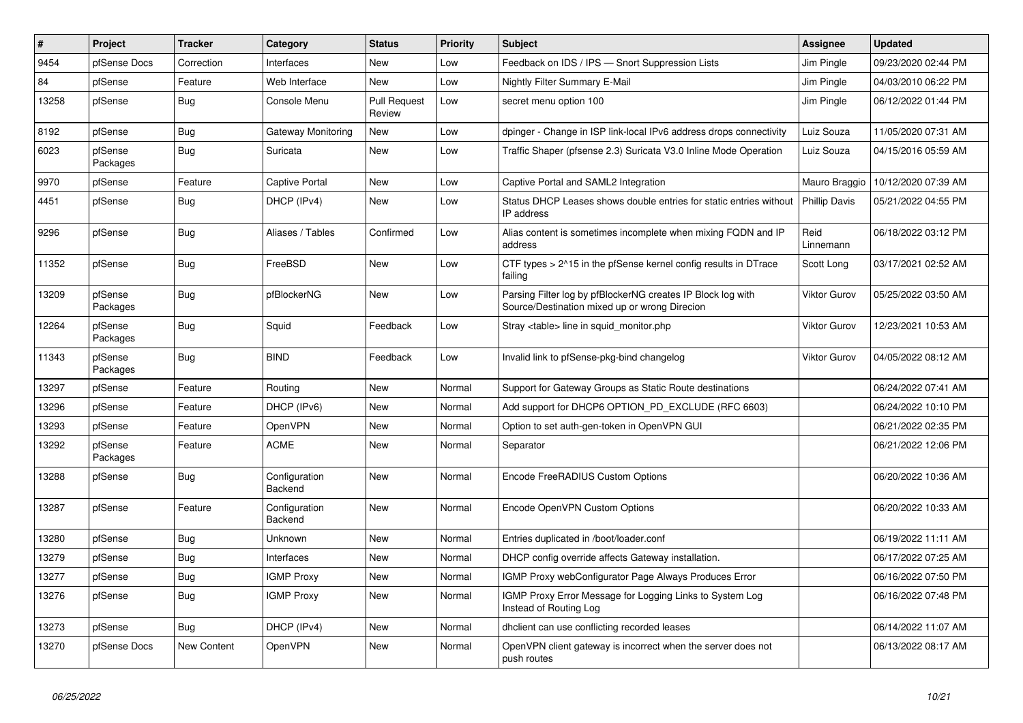| $\sharp$ | Project             | <b>Tracker</b> | Category                 | <b>Status</b>                 | <b>Priority</b> | <b>Subject</b>                                                                                               | <b>Assignee</b>      | <b>Updated</b>      |
|----------|---------------------|----------------|--------------------------|-------------------------------|-----------------|--------------------------------------------------------------------------------------------------------------|----------------------|---------------------|
| 9454     | pfSense Docs        | Correction     | Interfaces               | <b>New</b>                    | Low             | Feedback on IDS / IPS - Snort Suppression Lists                                                              | Jim Pingle           | 09/23/2020 02:44 PM |
| 84       | pfSense             | Feature        | Web Interface            | <b>New</b>                    | Low             | <b>Nightly Filter Summary E-Mail</b>                                                                         | Jim Pingle           | 04/03/2010 06:22 PM |
| 13258    | pfSense             | <b>Bug</b>     | Console Menu             | <b>Pull Request</b><br>Review | Low             | secret menu option 100                                                                                       | Jim Pingle           | 06/12/2022 01:44 PM |
| 8192     | pfSense             | Bug            | Gateway Monitoring       | New                           | Low             | dpinger - Change in ISP link-local IPv6 address drops connectivity                                           | Luiz Souza           | 11/05/2020 07:31 AM |
| 6023     | pfSense<br>Packages | Bug            | Suricata                 | New                           | Low             | Traffic Shaper (pfsense 2.3) Suricata V3.0 Inline Mode Operation                                             | Luiz Souza           | 04/15/2016 05:59 AM |
| 9970     | pfSense             | Feature        | Captive Portal           | <b>New</b>                    | Low             | Captive Portal and SAML2 Integration                                                                         | Mauro Braggio        | 10/12/2020 07:39 AM |
| 4451     | pfSense             | Bug            | DHCP (IPv4)              | <b>New</b>                    | Low             | Status DHCP Leases shows double entries for static entries without<br>IP address                             | <b>Phillip Davis</b> | 05/21/2022 04:55 PM |
| 9296     | pfSense             | Bug            | Aliases / Tables         | Confirmed                     | Low             | Alias content is sometimes incomplete when mixing FQDN and IP<br>address                                     | Reid<br>Linnemann    | 06/18/2022 03:12 PM |
| 11352    | pfSense             | Bug            | FreeBSD                  | New                           | Low             | CTF types > 2^15 in the pfSense kernel config results in DTrace<br>failing                                   | Scott Long           | 03/17/2021 02:52 AM |
| 13209    | pfSense<br>Packages | Bug            | pfBlockerNG              | New                           | Low             | Parsing Filter log by pfBlockerNG creates IP Block log with<br>Source/Destination mixed up or wrong Direcion | Viktor Gurov         | 05/25/2022 03:50 AM |
| 12264    | pfSense<br>Packages | Bug            | Squid                    | Feedback                      | Low             | Stray <table> line in squid monitor.php</table>                                                              | Viktor Gurov         | 12/23/2021 10:53 AM |
| 11343    | pfSense<br>Packages | <b>Bug</b>     | <b>BIND</b>              | Feedback                      | Low             | Invalid link to pfSense-pkg-bind changelog                                                                   | <b>Viktor Gurov</b>  | 04/05/2022 08:12 AM |
| 13297    | pfSense             | Feature        | Routing                  | <b>New</b>                    | Normal          | Support for Gateway Groups as Static Route destinations                                                      |                      | 06/24/2022 07:41 AM |
| 13296    | pfSense             | Feature        | DHCP (IPv6)              | <b>New</b>                    | Normal          | Add support for DHCP6 OPTION PD EXCLUDE (RFC 6603)                                                           |                      | 06/24/2022 10:10 PM |
| 13293    | pfSense             | Feature        | OpenVPN                  | New                           | Normal          | Option to set auth-gen-token in OpenVPN GUI                                                                  |                      | 06/21/2022 02:35 PM |
| 13292    | pfSense<br>Packages | Feature        | <b>ACME</b>              | New                           | Normal          | Separator                                                                                                    |                      | 06/21/2022 12:06 PM |
| 13288    | pfSense             | <b>Bug</b>     | Configuration<br>Backend | <b>New</b>                    | Normal          | Encode FreeRADIUS Custom Options                                                                             |                      | 06/20/2022 10:36 AM |
| 13287    | pfSense             | Feature        | Configuration<br>Backend | <b>New</b>                    | Normal          | Encode OpenVPN Custom Options                                                                                |                      | 06/20/2022 10:33 AM |
| 13280    | pfSense             | Bug            | Unknown                  | <b>New</b>                    | Normal          | Entries duplicated in /boot/loader.conf                                                                      |                      | 06/19/2022 11:11 AM |
| 13279    | pfSense             | Bug            | Interfaces               | <b>New</b>                    | Normal          | DHCP config override affects Gateway installation.                                                           |                      | 06/17/2022 07:25 AM |
| 13277    | pfSense             | Bug            | <b>IGMP Proxy</b>        | New                           | Normal          | IGMP Proxy webConfigurator Page Always Produces Error                                                        |                      | 06/16/2022 07:50 PM |
| 13276    | pfSense             | <b>Bug</b>     | <b>IGMP Proxy</b>        | New                           | Normal          | IGMP Proxy Error Message for Logging Links to System Log<br>Instead of Routing Log                           |                      | 06/16/2022 07:48 PM |
| 13273    | pfSense             | Bug            | DHCP (IPv4)              | New                           | Normal          | dhclient can use conflicting recorded leases                                                                 |                      | 06/14/2022 11:07 AM |
| 13270    | pfSense Docs        | New Content    | OpenVPN                  | <b>New</b>                    | Normal          | OpenVPN client gateway is incorrect when the server does not<br>push routes                                  |                      | 06/13/2022 08:17 AM |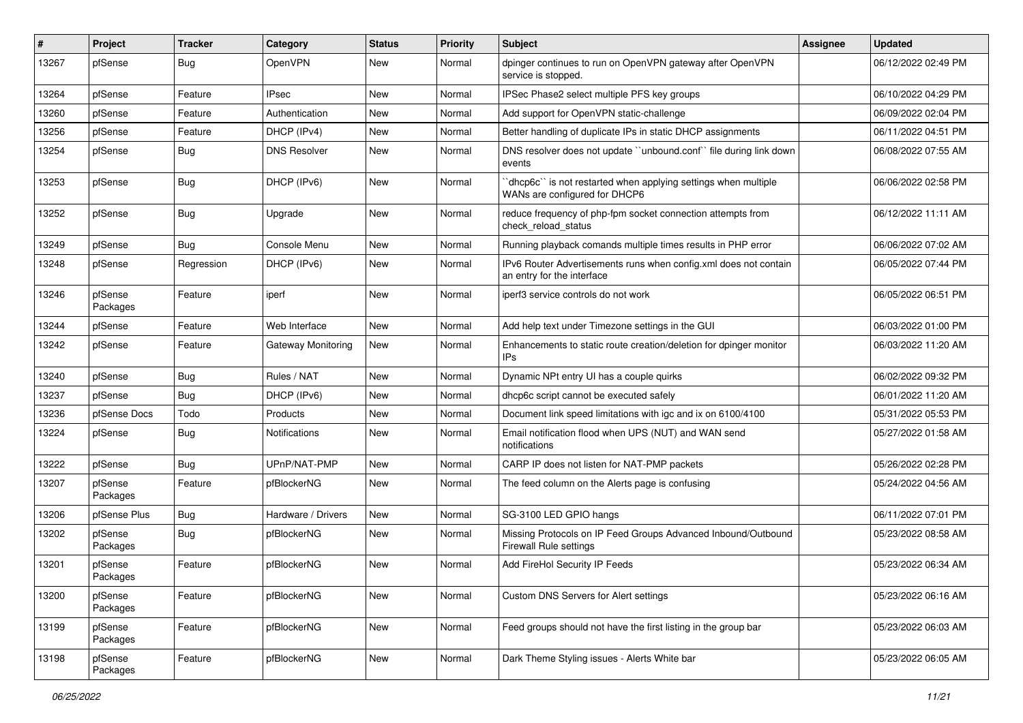| #     | Project             | <b>Tracker</b> | Category            | <b>Status</b> | <b>Priority</b> | <b>Subject</b>                                                                                 | <b>Assignee</b> | <b>Updated</b>      |
|-------|---------------------|----------------|---------------------|---------------|-----------------|------------------------------------------------------------------------------------------------|-----------------|---------------------|
| 13267 | pfSense             | Bug            | OpenVPN             | New           | Normal          | dpinger continues to run on OpenVPN gateway after OpenVPN<br>service is stopped.               |                 | 06/12/2022 02:49 PM |
| 13264 | pfSense             | Feature        | <b>IPsec</b>        | New           | Normal          | IPSec Phase2 select multiple PFS key groups                                                    |                 | 06/10/2022 04:29 PM |
| 13260 | pfSense             | Feature        | Authentication      | New           | Normal          | Add support for OpenVPN static-challenge                                                       |                 | 06/09/2022 02:04 PM |
| 13256 | pfSense             | Feature        | DHCP (IPv4)         | New           | Normal          | Better handling of duplicate IPs in static DHCP assignments                                    |                 | 06/11/2022 04:51 PM |
| 13254 | pfSense             | <b>Bug</b>     | <b>DNS Resolver</b> | New           | Normal          | DNS resolver does not update "unbound.conf" file during link down<br>events                    |                 | 06/08/2022 07:55 AM |
| 13253 | pfSense             | Bug            | DHCP (IPv6)         | New           | Normal          | dhcp6c" is not restarted when applying settings when multiple<br>WANs are configured for DHCP6 |                 | 06/06/2022 02:58 PM |
| 13252 | pfSense             | Bug            | Upgrade             | New           | Normal          | reduce frequency of php-fpm socket connection attempts from<br>check reload status             |                 | 06/12/2022 11:11 AM |
| 13249 | pfSense             | Bug            | Console Menu        | New           | Normal          | Running playback comands multiple times results in PHP error                                   |                 | 06/06/2022 07:02 AM |
| 13248 | pfSense             | Regression     | DHCP (IPv6)         | New           | Normal          | IPv6 Router Advertisements runs when config.xml does not contain<br>an entry for the interface |                 | 06/05/2022 07:44 PM |
| 13246 | pfSense<br>Packages | Feature        | iperf               | New           | Normal          | iperf3 service controls do not work                                                            |                 | 06/05/2022 06:51 PM |
| 13244 | pfSense             | Feature        | Web Interface       | <b>New</b>    | Normal          | Add help text under Timezone settings in the GUI                                               |                 | 06/03/2022 01:00 PM |
| 13242 | pfSense             | Feature        | Gateway Monitoring  | New           | Normal          | Enhancements to static route creation/deletion for dpinger monitor<br>IPs                      |                 | 06/03/2022 11:20 AM |
| 13240 | pfSense             | Bug            | Rules / NAT         | New           | Normal          | Dynamic NPt entry UI has a couple quirks                                                       |                 | 06/02/2022 09:32 PM |
| 13237 | pfSense             | Bug            | DHCP (IPv6)         | New           | Normal          | dhcp6c script cannot be executed safely                                                        |                 | 06/01/2022 11:20 AM |
| 13236 | pfSense Docs        | Todo           | Products            | New           | Normal          | Document link speed limitations with igc and ix on 6100/4100                                   |                 | 05/31/2022 05:53 PM |
| 13224 | pfSense             | Bug            | Notifications       | New           | Normal          | Email notification flood when UPS (NUT) and WAN send<br>notifications                          |                 | 05/27/2022 01:58 AM |
| 13222 | pfSense             | Bug            | UPnP/NAT-PMP        | New           | Normal          | CARP IP does not listen for NAT-PMP packets                                                    |                 | 05/26/2022 02:28 PM |
| 13207 | pfSense<br>Packages | Feature        | pfBlockerNG         | New           | Normal          | The feed column on the Alerts page is confusing                                                |                 | 05/24/2022 04:56 AM |
| 13206 | pfSense Plus        | Bug            | Hardware / Drivers  | New           | Normal          | SG-3100 LED GPIO hangs                                                                         |                 | 06/11/2022 07:01 PM |
| 13202 | pfSense<br>Packages | Bug            | pfBlockerNG         | New           | Normal          | Missing Protocols on IP Feed Groups Advanced Inbound/Outbound<br>Firewall Rule settings        |                 | 05/23/2022 08:58 AM |
| 13201 | pfSense<br>Packages | Feature        | pfBlockerNG         | New           | Normal          | Add FireHol Security IP Feeds                                                                  |                 | 05/23/2022 06:34 AM |
| 13200 | pfSense<br>Packages | Feature        | pfBlockerNG         | New           | Normal          | Custom DNS Servers for Alert settings                                                          |                 | 05/23/2022 06:16 AM |
| 13199 | pfSense<br>Packages | Feature        | pfBlockerNG         | New           | Normal          | Feed groups should not have the first listing in the group bar                                 |                 | 05/23/2022 06:03 AM |
| 13198 | pfSense<br>Packages | Feature        | pfBlockerNG         | New           | Normal          | Dark Theme Styling issues - Alerts White bar                                                   |                 | 05/23/2022 06:05 AM |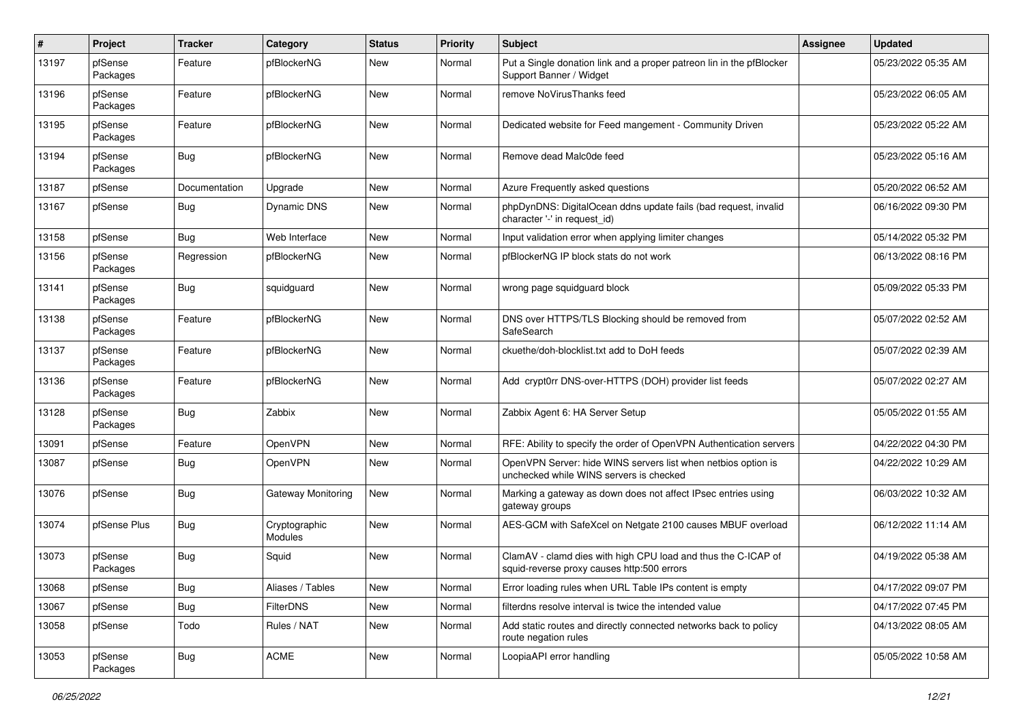| $\sharp$ | Project             | <b>Tracker</b> | Category                 | <b>Status</b> | <b>Priority</b> | Subject                                                                                                     | Assignee | <b>Updated</b>      |
|----------|---------------------|----------------|--------------------------|---------------|-----------------|-------------------------------------------------------------------------------------------------------------|----------|---------------------|
| 13197    | pfSense<br>Packages | Feature        | pfBlockerNG              | New           | Normal          | Put a Single donation link and a proper patreon lin in the pfBlocker<br>Support Banner / Widget             |          | 05/23/2022 05:35 AM |
| 13196    | pfSense<br>Packages | Feature        | pfBlockerNG              | New           | Normal          | remove NoVirusThanks feed                                                                                   |          | 05/23/2022 06:05 AM |
| 13195    | pfSense<br>Packages | Feature        | pfBlockerNG              | New           | Normal          | Dedicated website for Feed mangement - Community Driven                                                     |          | 05/23/2022 05:22 AM |
| 13194    | pfSense<br>Packages | Bug            | pfBlockerNG              | New           | Normal          | Remove dead Malc0de feed                                                                                    |          | 05/23/2022 05:16 AM |
| 13187    | pfSense             | Documentation  | Upgrade                  | New           | Normal          | Azure Frequently asked questions                                                                            |          | 05/20/2022 06:52 AM |
| 13167    | pfSense             | Bug            | Dynamic DNS              | New           | Normal          | phpDynDNS: DigitalOcean ddns update fails (bad request, invalid<br>character '-' in request_id)             |          | 06/16/2022 09:30 PM |
| 13158    | pfSense             | Bug            | Web Interface            | New           | Normal          | Input validation error when applying limiter changes                                                        |          | 05/14/2022 05:32 PM |
| 13156    | pfSense<br>Packages | Regression     | pfBlockerNG              | New           | Normal          | pfBlockerNG IP block stats do not work                                                                      |          | 06/13/2022 08:16 PM |
| 13141    | pfSense<br>Packages | Bug            | squidguard               | New           | Normal          | wrong page squidguard block                                                                                 |          | 05/09/2022 05:33 PM |
| 13138    | pfSense<br>Packages | Feature        | pfBlockerNG              | <b>New</b>    | Normal          | DNS over HTTPS/TLS Blocking should be removed from<br>SafeSearch                                            |          | 05/07/2022 02:52 AM |
| 13137    | pfSense<br>Packages | Feature        | pfBlockerNG              | New           | Normal          | ckuethe/doh-blocklist.txt add to DoH feeds                                                                  |          | 05/07/2022 02:39 AM |
| 13136    | pfSense<br>Packages | Feature        | pfBlockerNG              | New           | Normal          | Add crypt0rr DNS-over-HTTPS (DOH) provider list feeds                                                       |          | 05/07/2022 02:27 AM |
| 13128    | pfSense<br>Packages | Bug            | Zabbix                   | New           | Normal          | Zabbix Agent 6: HA Server Setup                                                                             |          | 05/05/2022 01:55 AM |
| 13091    | pfSense             | Feature        | OpenVPN                  | New           | Normal          | RFE: Ability to specify the order of OpenVPN Authentication servers                                         |          | 04/22/2022 04:30 PM |
| 13087    | pfSense             | <b>Bug</b>     | OpenVPN                  | New           | Normal          | OpenVPN Server: hide WINS servers list when netbios option is<br>unchecked while WINS servers is checked    |          | 04/22/2022 10:29 AM |
| 13076    | pfSense             | <b>Bug</b>     | Gateway Monitoring       | New           | Normal          | Marking a gateway as down does not affect IPsec entries using<br>gateway groups                             |          | 06/03/2022 10:32 AM |
| 13074    | pfSense Plus        | Bug            | Cryptographic<br>Modules | New           | Normal          | AES-GCM with SafeXcel on Netgate 2100 causes MBUF overload                                                  |          | 06/12/2022 11:14 AM |
| 13073    | pfSense<br>Packages | Bug            | Squid                    | New           | Normal          | ClamAV - clamd dies with high CPU load and thus the C-ICAP of<br>squid-reverse proxy causes http:500 errors |          | 04/19/2022 05:38 AM |
| 13068    | pfSense             | <b>Bug</b>     | Aliases / Tables         | New           | Normal          | Error loading rules when URL Table IPs content is empty                                                     |          | 04/17/2022 09:07 PM |
| 13067    | pfSense             | <b>Bug</b>     | <b>FilterDNS</b>         | New           | Normal          | filterdns resolve interval is twice the intended value                                                      |          | 04/17/2022 07:45 PM |
| 13058    | pfSense             | Todo           | Rules / NAT              | New           | Normal          | Add static routes and directly connected networks back to policy<br>route negation rules                    |          | 04/13/2022 08:05 AM |
| 13053    | pfSense<br>Packages | <b>Bug</b>     | ACME                     | New           | Normal          | LoopiaAPI error handling                                                                                    |          | 05/05/2022 10:58 AM |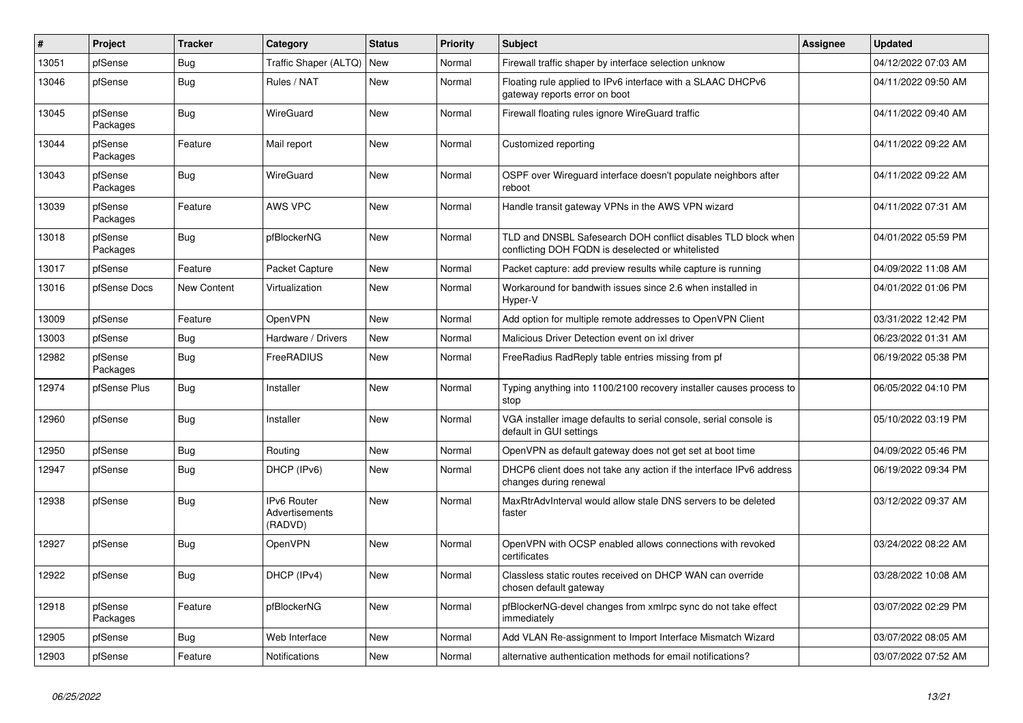| #     | Project             | <b>Tracker</b> | Category                                 | <b>Status</b> | Priority | <b>Subject</b>                                                                                                     | <b>Assignee</b> | <b>Updated</b>      |
|-------|---------------------|----------------|------------------------------------------|---------------|----------|--------------------------------------------------------------------------------------------------------------------|-----------------|---------------------|
| 13051 | pfSense             | <b>Bug</b>     | Traffic Shaper (ALTQ) New                |               | Normal   | Firewall traffic shaper by interface selection unknow                                                              |                 | 04/12/2022 07:03 AM |
| 13046 | pfSense             | Bug            | Rules / NAT                              | <b>New</b>    | Normal   | Floating rule applied to IPv6 interface with a SLAAC DHCPv6<br>gateway reports error on boot                       |                 | 04/11/2022 09:50 AM |
| 13045 | pfSense<br>Packages | <b>Bug</b>     | WireGuard                                | New           | Normal   | Firewall floating rules ignore WireGuard traffic                                                                   |                 | 04/11/2022 09:40 AM |
| 13044 | pfSense<br>Packages | Feature        | Mail report                              | New           | Normal   | Customized reporting                                                                                               |                 | 04/11/2022 09:22 AM |
| 13043 | pfSense<br>Packages | <b>Bug</b>     | WireGuard                                | <b>New</b>    | Normal   | OSPF over Wireguard interface doesn't populate neighbors after<br>reboot                                           |                 | 04/11/2022 09:22 AM |
| 13039 | pfSense<br>Packages | Feature        | AWS VPC                                  | <b>New</b>    | Normal   | Handle transit gateway VPNs in the AWS VPN wizard                                                                  |                 | 04/11/2022 07:31 AM |
| 13018 | pfSense<br>Packages | Bug            | pfBlockerNG                              | New           | Normal   | TLD and DNSBL Safesearch DOH conflict disables TLD block when<br>conflicting DOH FQDN is deselected or whitelisted |                 | 04/01/2022 05:59 PM |
| 13017 | pfSense             | Feature        | Packet Capture                           | <b>New</b>    | Normal   | Packet capture: add preview results while capture is running                                                       |                 | 04/09/2022 11:08 AM |
| 13016 | pfSense Docs        | New Content    | Virtualization                           | <b>New</b>    | Normal   | Workaround for bandwith issues since 2.6 when installed in<br>Hyper-V                                              |                 | 04/01/2022 01:06 PM |
| 13009 | pfSense             | Feature        | OpenVPN                                  | <b>New</b>    | Normal   | Add option for multiple remote addresses to OpenVPN Client                                                         |                 | 03/31/2022 12:42 PM |
| 13003 | pfSense             | Bug            | Hardware / Drivers                       | New           | Normal   | Malicious Driver Detection event on ixl driver                                                                     |                 | 06/23/2022 01:31 AM |
| 12982 | pfSense<br>Packages | <b>Bug</b>     | FreeRADIUS                               | <b>New</b>    | Normal   | FreeRadius RadReply table entries missing from pf                                                                  |                 | 06/19/2022 05:38 PM |
| 12974 | pfSense Plus        | Bug            | Installer                                | <b>New</b>    | Normal   | Typing anything into 1100/2100 recovery installer causes process to<br>stop                                        |                 | 06/05/2022 04:10 PM |
| 12960 | pfSense             | <b>Bug</b>     | Installer                                | New           | Normal   | VGA installer image defaults to serial console, serial console is<br>default in GUI settings                       |                 | 05/10/2022 03:19 PM |
| 12950 | pfSense             | <b>Bug</b>     | Routing                                  | New           | Normal   | OpenVPN as default gateway does not get set at boot time                                                           |                 | 04/09/2022 05:46 PM |
| 12947 | pfSense             | <b>Bug</b>     | DHCP (IPv6)                              | <b>New</b>    | Normal   | DHCP6 client does not take any action if the interface IPv6 address<br>changes during renewal                      |                 | 06/19/2022 09:34 PM |
| 12938 | pfSense             | <b>Bug</b>     | IPv6 Router<br>Advertisements<br>(RADVD) | New           | Normal   | MaxRtrAdvInterval would allow stale DNS servers to be deleted<br>faster                                            |                 | 03/12/2022 09:37 AM |
| 12927 | pfSense             | <b>Bug</b>     | OpenVPN                                  | New           | Normal   | OpenVPN with OCSP enabled allows connections with revoked<br>certificates                                          |                 | 03/24/2022 08:22 AM |
| 12922 | pfSense             | <b>Bug</b>     | DHCP (IPv4)                              | New           | Normal   | Classless static routes received on DHCP WAN can override<br>chosen default gateway                                |                 | 03/28/2022 10:08 AM |
| 12918 | pfSense<br>Packages | Feature        | pfBlockerNG                              | New           | Normal   | pfBlockerNG-devel changes from xmlrpc sync do not take effect<br>immediately                                       |                 | 03/07/2022 02:29 PM |
| 12905 | pfSense             | <b>Bug</b>     | Web Interface                            | <b>New</b>    | Normal   | Add VLAN Re-assignment to Import Interface Mismatch Wizard                                                         |                 | 03/07/2022 08:05 AM |
| 12903 | pfSense             | Feature        | Notifications                            | New           | Normal   | alternative authentication methods for email notifications?                                                        |                 | 03/07/2022 07:52 AM |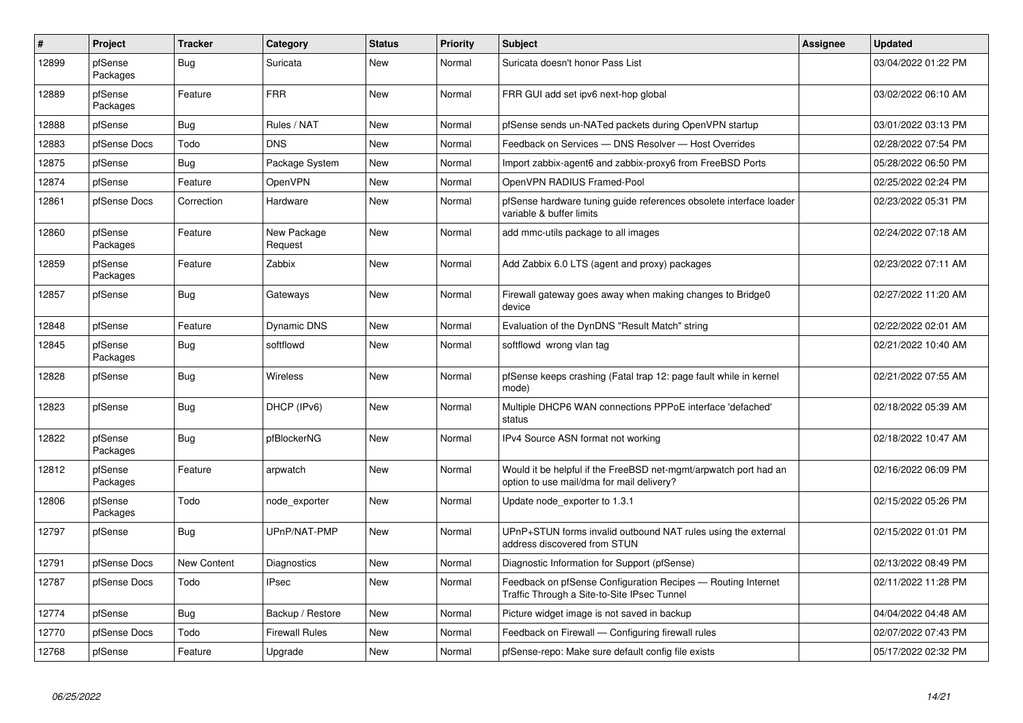| $\vert$ # | Project             | <b>Tracker</b> | Category               | <b>Status</b> | <b>Priority</b> | <b>Subject</b>                                                                                                | Assignee | <b>Updated</b>      |
|-----------|---------------------|----------------|------------------------|---------------|-----------------|---------------------------------------------------------------------------------------------------------------|----------|---------------------|
| 12899     | pfSense<br>Packages | Bug            | Suricata               | <b>New</b>    | Normal          | Suricata doesn't honor Pass List                                                                              |          | 03/04/2022 01:22 PM |
| 12889     | pfSense<br>Packages | Feature        | <b>FRR</b>             | New           | Normal          | FRR GUI add set ipv6 next-hop global                                                                          |          | 03/02/2022 06:10 AM |
| 12888     | pfSense             | Bug            | Rules / NAT            | New           | Normal          | pfSense sends un-NATed packets during OpenVPN startup                                                         |          | 03/01/2022 03:13 PM |
| 12883     | pfSense Docs        | Todo           | <b>DNS</b>             | New           | Normal          | Feedback on Services - DNS Resolver - Host Overrides                                                          |          | 02/28/2022 07:54 PM |
| 12875     | pfSense             | Bug            | Package System         | New           | Normal          | Import zabbix-agent6 and zabbix-proxy6 from FreeBSD Ports                                                     |          | 05/28/2022 06:50 PM |
| 12874     | pfSense             | Feature        | OpenVPN                | New           | Normal          | OpenVPN RADIUS Framed-Pool                                                                                    |          | 02/25/2022 02:24 PM |
| 12861     | pfSense Docs        | Correction     | Hardware               | <b>New</b>    | Normal          | pfSense hardware tuning guide references obsolete interface loader<br>variable & buffer limits                |          | 02/23/2022 05:31 PM |
| 12860     | pfSense<br>Packages | Feature        | New Package<br>Request | New           | Normal          | add mmc-utils package to all images                                                                           |          | 02/24/2022 07:18 AM |
| 12859     | pfSense<br>Packages | Feature        | Zabbix                 | New           | Normal          | Add Zabbix 6.0 LTS (agent and proxy) packages                                                                 |          | 02/23/2022 07:11 AM |
| 12857     | pfSense             | Bug            | Gateways               | New           | Normal          | Firewall gateway goes away when making changes to Bridge0<br>device                                           |          | 02/27/2022 11:20 AM |
| 12848     | pfSense             | Feature        | <b>Dynamic DNS</b>     | New           | Normal          | Evaluation of the DynDNS "Result Match" string                                                                |          | 02/22/2022 02:01 AM |
| 12845     | pfSense<br>Packages | <b>Bug</b>     | softflowd              | New           | Normal          | softflowd wrong vlan tag                                                                                      |          | 02/21/2022 10:40 AM |
| 12828     | pfSense             | <b>Bug</b>     | Wireless               | <b>New</b>    | Normal          | pfSense keeps crashing (Fatal trap 12: page fault while in kernel<br>mode)                                    |          | 02/21/2022 07:55 AM |
| 12823     | pfSense             | Bug            | DHCP (IPv6)            | New           | Normal          | Multiple DHCP6 WAN connections PPPoE interface 'defached'<br>status                                           |          | 02/18/2022 05:39 AM |
| 12822     | pfSense<br>Packages | <b>Bug</b>     | pfBlockerNG            | New           | Normal          | IPv4 Source ASN format not working                                                                            |          | 02/18/2022 10:47 AM |
| 12812     | pfSense<br>Packages | Feature        | arpwatch               | New           | Normal          | Would it be helpful if the FreeBSD net-mgmt/arpwatch port had an<br>option to use mail/dma for mail delivery? |          | 02/16/2022 06:09 PM |
| 12806     | pfSense<br>Packages | Todo           | node exporter          | New           | Normal          | Update node exporter to 1.3.1                                                                                 |          | 02/15/2022 05:26 PM |
| 12797     | pfSense             | <b>Bug</b>     | UPnP/NAT-PMP           | New           | Normal          | UPnP+STUN forms invalid outbound NAT rules using the external<br>address discovered from STUN                 |          | 02/15/2022 01:01 PM |
| 12791     | pfSense Docs        | New Content    | Diagnostics            | New           | Normal          | Diagnostic Information for Support (pfSense)                                                                  |          | 02/13/2022 08:49 PM |
| 12787     | pfSense Docs        | Todo           | <b>IPsec</b>           | New           | Normal          | Feedback on pfSense Configuration Recipes - Routing Internet<br>Traffic Through a Site-to-Site IPsec Tunnel   |          | 02/11/2022 11:28 PM |
| 12774     | pfSense             | Bug            | Backup / Restore       | New           | Normal          | Picture widget image is not saved in backup                                                                   |          | 04/04/2022 04:48 AM |
| 12770     | pfSense Docs        | Todo           | <b>Firewall Rules</b>  | <b>New</b>    | Normal          | Feedback on Firewall - Configuring firewall rules                                                             |          | 02/07/2022 07:43 PM |
| 12768     | pfSense             | Feature        | Upgrade                | New           | Normal          | pfSense-repo: Make sure default config file exists                                                            |          | 05/17/2022 02:32 PM |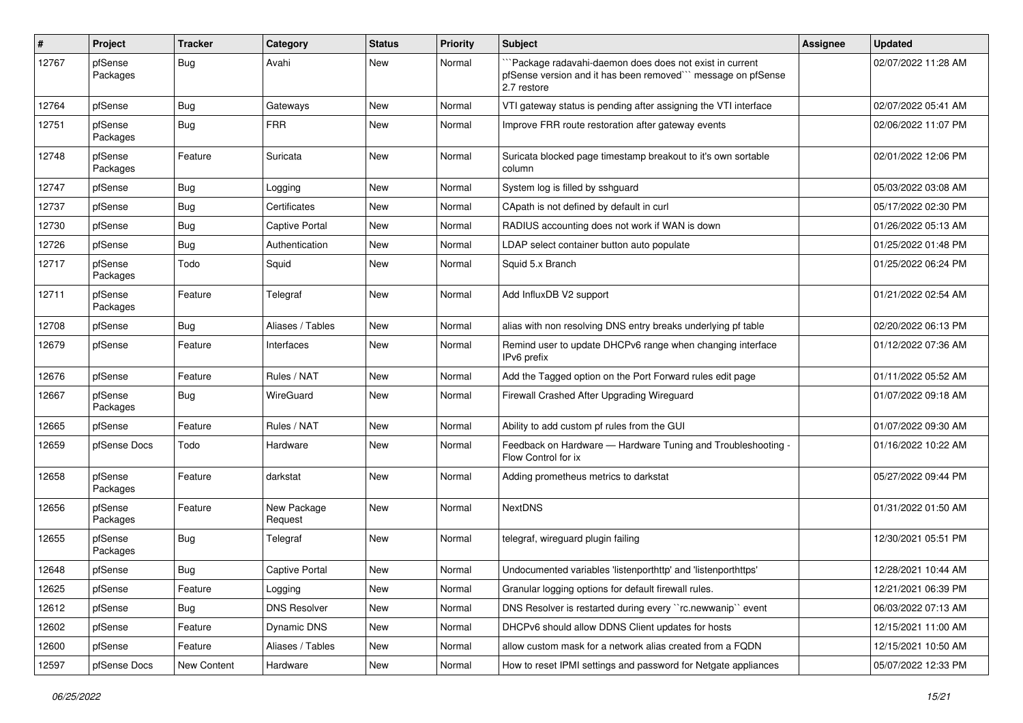| ∦     | Project             | <b>Tracker</b> | Category               | <b>Status</b> | <b>Priority</b> | <b>Subject</b>                                                                                                                        | <b>Assignee</b> | <b>Updated</b>      |
|-------|---------------------|----------------|------------------------|---------------|-----------------|---------------------------------------------------------------------------------------------------------------------------------------|-----------------|---------------------|
| 12767 | pfSense<br>Packages | <b>Bug</b>     | Avahi                  | New           | Normal          | `Package radavahi-daemon does does not exist in current<br>pfSense version and it has been removed" message on pfSense<br>2.7 restore |                 | 02/07/2022 11:28 AM |
| 12764 | pfSense             | <b>Bug</b>     | Gateways               | New           | Normal          | VTI gateway status is pending after assigning the VTI interface                                                                       |                 | 02/07/2022 05:41 AM |
| 12751 | pfSense<br>Packages | <b>Bug</b>     | <b>FRR</b>             | New           | Normal          | Improve FRR route restoration after gateway events                                                                                    |                 | 02/06/2022 11:07 PM |
| 12748 | pfSense<br>Packages | Feature        | Suricata               | New           | Normal          | Suricata blocked page timestamp breakout to it's own sortable<br>column                                                               |                 | 02/01/2022 12:06 PM |
| 12747 | pfSense             | <b>Bug</b>     | Logging                | New           | Normal          | System log is filled by sshguard                                                                                                      |                 | 05/03/2022 03:08 AM |
| 12737 | pfSense             | <b>Bug</b>     | Certificates           | New           | Normal          | CApath is not defined by default in curl                                                                                              |                 | 05/17/2022 02:30 PM |
| 12730 | pfSense             | <b>Bug</b>     | <b>Captive Portal</b>  | New           | Normal          | RADIUS accounting does not work if WAN is down                                                                                        |                 | 01/26/2022 05:13 AM |
| 12726 | pfSense             | <b>Bug</b>     | Authentication         | New           | Normal          | LDAP select container button auto populate                                                                                            |                 | 01/25/2022 01:48 PM |
| 12717 | pfSense<br>Packages | Todo           | Squid                  | New           | Normal          | Squid 5.x Branch                                                                                                                      |                 | 01/25/2022 06:24 PM |
| 12711 | pfSense<br>Packages | Feature        | Telegraf               | New           | Normal          | Add InfluxDB V2 support                                                                                                               |                 | 01/21/2022 02:54 AM |
| 12708 | pfSense             | Bug            | Aliases / Tables       | New           | Normal          | alias with non resolving DNS entry breaks underlying pf table                                                                         |                 | 02/20/2022 06:13 PM |
| 12679 | pfSense             | Feature        | Interfaces             | New           | Normal          | Remind user to update DHCPv6 range when changing interface<br>IPv6 prefix                                                             |                 | 01/12/2022 07:36 AM |
| 12676 | pfSense             | Feature        | Rules / NAT            | New           | Normal          | Add the Tagged option on the Port Forward rules edit page                                                                             |                 | 01/11/2022 05:52 AM |
| 12667 | pfSense<br>Packages | <b>Bug</b>     | WireGuard              | New           | Normal          | Firewall Crashed After Upgrading Wireguard                                                                                            |                 | 01/07/2022 09:18 AM |
| 12665 | pfSense             | Feature        | Rules / NAT            | New           | Normal          | Ability to add custom pf rules from the GUI                                                                                           |                 | 01/07/2022 09:30 AM |
| 12659 | pfSense Docs        | Todo           | Hardware               | New           | Normal          | Feedback on Hardware - Hardware Tuning and Troubleshooting -<br>Flow Control for ix                                                   |                 | 01/16/2022 10:22 AM |
| 12658 | pfSense<br>Packages | Feature        | darkstat               | New           | Normal          | Adding prometheus metrics to darkstat                                                                                                 |                 | 05/27/2022 09:44 PM |
| 12656 | pfSense<br>Packages | Feature        | New Package<br>Request | New           | Normal          | <b>NextDNS</b>                                                                                                                        |                 | 01/31/2022 01:50 AM |
| 12655 | pfSense<br>Packages | <b>Bug</b>     | Telegraf               | New           | Normal          | telegraf, wireguard plugin failing                                                                                                    |                 | 12/30/2021 05:51 PM |
| 12648 | pfSense             | <b>Bug</b>     | <b>Captive Portal</b>  | New           | Normal          | Undocumented variables 'listenporthttp' and 'listenporthttps'                                                                         |                 | 12/28/2021 10:44 AM |
| 12625 | pfSense             | Feature        | Logging                | New           | Normal          | Granular logging options for default firewall rules.                                                                                  |                 | 12/21/2021 06:39 PM |
| 12612 | pfSense             | <b>Bug</b>     | <b>DNS Resolver</b>    | New           | Normal          | DNS Resolver is restarted during every "rc.newwanip" event                                                                            |                 | 06/03/2022 07:13 AM |
| 12602 | pfSense             | Feature        | Dynamic DNS            | New           | Normal          | DHCPv6 should allow DDNS Client updates for hosts                                                                                     |                 | 12/15/2021 11:00 AM |
| 12600 | pfSense             | Feature        | Aliases / Tables       | New           | Normal          | allow custom mask for a network alias created from a FQDN                                                                             |                 | 12/15/2021 10:50 AM |
| 12597 | pfSense Docs        | New Content    | Hardware               | New           | Normal          | How to reset IPMI settings and password for Netgate appliances                                                                        |                 | 05/07/2022 12:33 PM |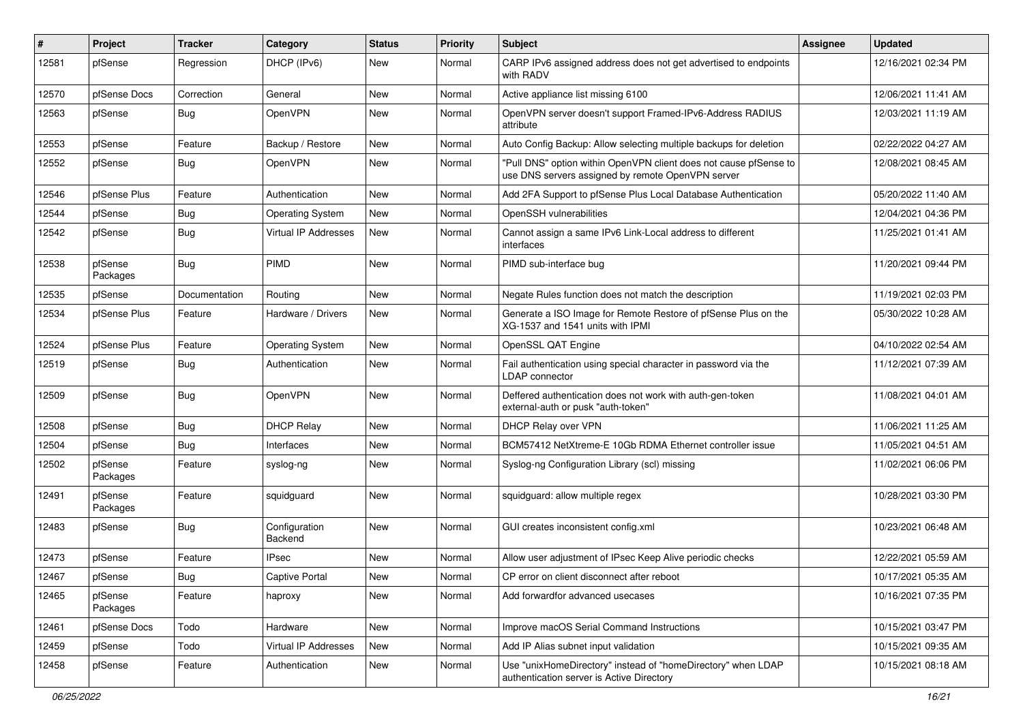| ∦     | Project             | <b>Tracker</b> | Category                    | <b>Status</b> | <b>Priority</b> | <b>Subject</b>                                                                                                         | <b>Assignee</b> | <b>Updated</b>      |
|-------|---------------------|----------------|-----------------------------|---------------|-----------------|------------------------------------------------------------------------------------------------------------------------|-----------------|---------------------|
| 12581 | pfSense             | Regression     | DHCP (IPv6)                 | New           | Normal          | CARP IPv6 assigned address does not get advertised to endpoints<br>with RADV                                           |                 | 12/16/2021 02:34 PM |
| 12570 | pfSense Docs        | Correction     | General                     | New           | Normal          | Active appliance list missing 6100                                                                                     |                 | 12/06/2021 11:41 AM |
| 12563 | pfSense             | <b>Bug</b>     | OpenVPN                     | New           | Normal          | OpenVPN server doesn't support Framed-IPv6-Address RADIUS<br>attribute                                                 |                 | 12/03/2021 11:19 AM |
| 12553 | pfSense             | Feature        | Backup / Restore            | New           | Normal          | Auto Config Backup: Allow selecting multiple backups for deletion                                                      |                 | 02/22/2022 04:27 AM |
| 12552 | pfSense             | <b>Bug</b>     | OpenVPN                     | New           | Normal          | "Pull DNS" option within OpenVPN client does not cause pfSense to<br>use DNS servers assigned by remote OpenVPN server |                 | 12/08/2021 08:45 AM |
| 12546 | pfSense Plus        | Feature        | Authentication              | <b>New</b>    | Normal          | Add 2FA Support to pfSense Plus Local Database Authentication                                                          |                 | 05/20/2022 11:40 AM |
| 12544 | pfSense             | <b>Bug</b>     | <b>Operating System</b>     | New           | Normal          | OpenSSH vulnerabilities                                                                                                |                 | 12/04/2021 04:36 PM |
| 12542 | pfSense             | Bug            | Virtual IP Addresses        | New           | Normal          | Cannot assign a same IPv6 Link-Local address to different<br>interfaces                                                |                 | 11/25/2021 01:41 AM |
| 12538 | pfSense<br>Packages | <b>Bug</b>     | PIMD                        | <b>New</b>    | Normal          | PIMD sub-interface bug                                                                                                 |                 | 11/20/2021 09:44 PM |
| 12535 | pfSense             | Documentation  | Routing                     | New           | Normal          | Negate Rules function does not match the description                                                                   |                 | 11/19/2021 02:03 PM |
| 12534 | pfSense Plus        | Feature        | Hardware / Drivers          | New           | Normal          | Generate a ISO Image for Remote Restore of pfSense Plus on the<br>XG-1537 and 1541 units with IPMI                     |                 | 05/30/2022 10:28 AM |
| 12524 | pfSense Plus        | Feature        | <b>Operating System</b>     | New           | Normal          | OpenSSL QAT Engine                                                                                                     |                 | 04/10/2022 02:54 AM |
| 12519 | pfSense             | Bug            | Authentication              | New           | Normal          | Fail authentication using special character in password via the<br>LDAP connector                                      |                 | 11/12/2021 07:39 AM |
| 12509 | pfSense             | <b>Bug</b>     | OpenVPN                     | New           | Normal          | Deffered authentication does not work with auth-gen-token<br>external-auth or pusk "auth-token"                        |                 | 11/08/2021 04:01 AM |
| 12508 | pfSense             | <b>Bug</b>     | <b>DHCP Relay</b>           | New           | Normal          | DHCP Relay over VPN                                                                                                    |                 | 11/06/2021 11:25 AM |
| 12504 | pfSense             | <b>Bug</b>     | Interfaces                  | New           | Normal          | BCM57412 NetXtreme-E 10Gb RDMA Ethernet controller issue                                                               |                 | 11/05/2021 04:51 AM |
| 12502 | pfSense<br>Packages | Feature        | syslog-ng                   | New           | Normal          | Syslog-ng Configuration Library (scl) missing                                                                          |                 | 11/02/2021 06:06 PM |
| 12491 | pfSense<br>Packages | Feature        | squidguard                  | New           | Normal          | squidguard: allow multiple regex                                                                                       |                 | 10/28/2021 03:30 PM |
| 12483 | pfSense             | <b>Bug</b>     | Configuration<br>Backend    | New           | Normal          | GUI creates inconsistent config.xml                                                                                    |                 | 10/23/2021 06:48 AM |
| 12473 | pfSense             | Feature        | IPsec                       | New           | Normal          | Allow user adjustment of IPsec Keep Alive periodic checks                                                              |                 | 12/22/2021 05:59 AM |
| 12467 | pfSense             | <b>Bug</b>     | Captive Portal              | New           | Normal          | CP error on client disconnect after reboot                                                                             |                 | 10/17/2021 05:35 AM |
| 12465 | pfSense<br>Packages | Feature        | haproxy                     | New           | Normal          | Add forwardfor advanced usecases                                                                                       |                 | 10/16/2021 07:35 PM |
| 12461 | pfSense Docs        | Todo           | Hardware                    | New           | Normal          | Improve macOS Serial Command Instructions                                                                              |                 | 10/15/2021 03:47 PM |
| 12459 | pfSense             | Todo           | <b>Virtual IP Addresses</b> | New           | Normal          | Add IP Alias subnet input validation                                                                                   |                 | 10/15/2021 09:35 AM |
| 12458 | pfSense             | Feature        | Authentication              | New           | Normal          | Use "unixHomeDirectory" instead of "homeDirectory" when LDAP<br>authentication server is Active Directory              |                 | 10/15/2021 08:18 AM |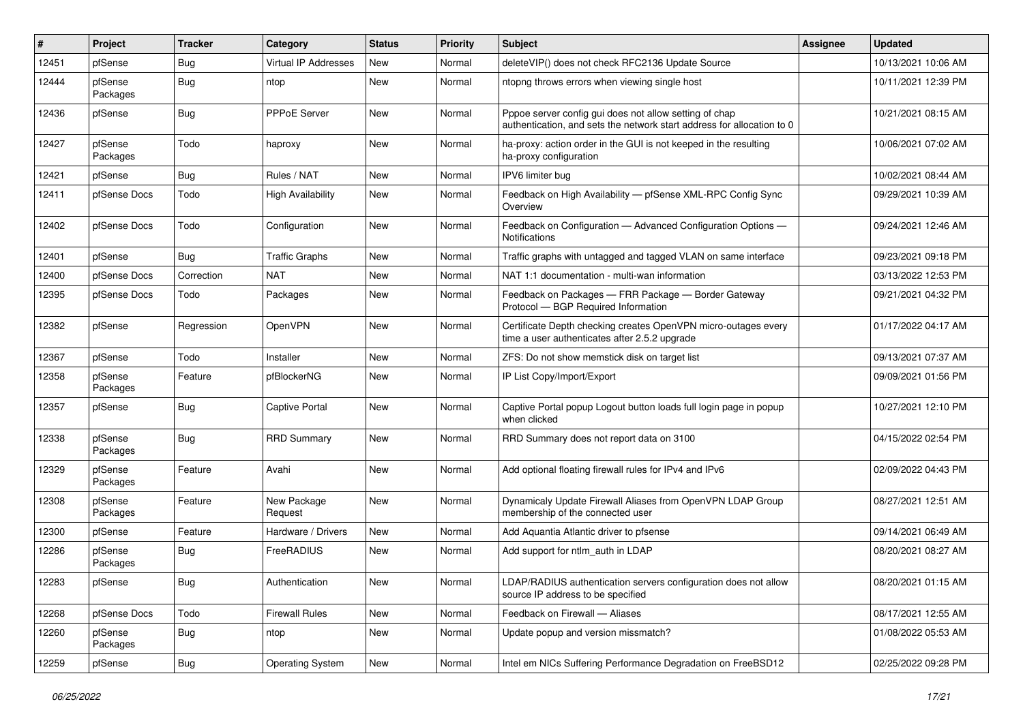| #     | Project             | <b>Tracker</b> | Category                 | <b>Status</b> | <b>Priority</b> | Subject                                                                                                                          | <b>Assignee</b> | <b>Updated</b>      |
|-------|---------------------|----------------|--------------------------|---------------|-----------------|----------------------------------------------------------------------------------------------------------------------------------|-----------------|---------------------|
| 12451 | pfSense             | <b>Bug</b>     | Virtual IP Addresses     | New           | Normal          | deleteVIP() does not check RFC2136 Update Source                                                                                 |                 | 10/13/2021 10:06 AM |
| 12444 | pfSense<br>Packages | <b>Bug</b>     | ntop                     | New           | Normal          | ntopng throws errors when viewing single host                                                                                    |                 | 10/11/2021 12:39 PM |
| 12436 | pfSense             | <b>Bug</b>     | <b>PPPoE Server</b>      | New           | Normal          | Pppoe server config gui does not allow setting of chap<br>authentication, and sets the network start address for allocation to 0 |                 | 10/21/2021 08:15 AM |
| 12427 | pfSense<br>Packages | Todo           | haproxy                  | New           | Normal          | ha-proxy: action order in the GUI is not keeped in the resulting<br>ha-proxy configuration                                       |                 | 10/06/2021 07:02 AM |
| 12421 | pfSense             | <b>Bug</b>     | Rules / NAT              | <b>New</b>    | Normal          | IPV6 limiter bug                                                                                                                 |                 | 10/02/2021 08:44 AM |
| 12411 | pfSense Docs        | Todo           | <b>High Availability</b> | New           | Normal          | Feedback on High Availability - pfSense XML-RPC Config Sync<br>Overview                                                          |                 | 09/29/2021 10:39 AM |
| 12402 | pfSense Docs        | Todo           | Configuration            | New           | Normal          | Feedback on Configuration - Advanced Configuration Options -<br>Notifications                                                    |                 | 09/24/2021 12:46 AM |
| 12401 | pfSense             | <b>Bug</b>     | <b>Traffic Graphs</b>    | New           | Normal          | Traffic graphs with untagged and tagged VLAN on same interface                                                                   |                 | 09/23/2021 09:18 PM |
| 12400 | pfSense Docs        | Correction     | <b>NAT</b>               | New           | Normal          | NAT 1:1 documentation - multi-wan information                                                                                    |                 | 03/13/2022 12:53 PM |
| 12395 | pfSense Docs        | Todo           | Packages                 | New           | Normal          | Feedback on Packages - FRR Package - Border Gateway<br>Protocol - BGP Required Information                                       |                 | 09/21/2021 04:32 PM |
| 12382 | pfSense             | Regression     | OpenVPN                  | New           | Normal          | Certificate Depth checking creates OpenVPN micro-outages every<br>time a user authenticates after 2.5.2 upgrade                  |                 | 01/17/2022 04:17 AM |
| 12367 | pfSense             | Todo           | Installer                | <b>New</b>    | Normal          | ZFS: Do not show memstick disk on target list                                                                                    |                 | 09/13/2021 07:37 AM |
| 12358 | pfSense<br>Packages | Feature        | pfBlockerNG              | New           | Normal          | IP List Copy/Import/Export                                                                                                       |                 | 09/09/2021 01:56 PM |
| 12357 | pfSense             | <b>Bug</b>     | <b>Captive Portal</b>    | New           | Normal          | Captive Portal popup Logout button loads full login page in popup<br>when clicked                                                |                 | 10/27/2021 12:10 PM |
| 12338 | pfSense<br>Packages | <b>Bug</b>     | <b>RRD Summary</b>       | New           | Normal          | RRD Summary does not report data on 3100                                                                                         |                 | 04/15/2022 02:54 PM |
| 12329 | pfSense<br>Packages | Feature        | Avahi                    | New           | Normal          | Add optional floating firewall rules for IPv4 and IPv6                                                                           |                 | 02/09/2022 04:43 PM |
| 12308 | pfSense<br>Packages | Feature        | New Package<br>Request   | New           | Normal          | Dynamicaly Update Firewall Aliases from OpenVPN LDAP Group<br>membership of the connected user                                   |                 | 08/27/2021 12:51 AM |
| 12300 | pfSense             | Feature        | Hardware / Drivers       | New           | Normal          | Add Aquantia Atlantic driver to pfsense                                                                                          |                 | 09/14/2021 06:49 AM |
| 12286 | pfSense<br>Packages | Bug            | FreeRADIUS               | New           | Normal          | Add support for ntlm auth in LDAP                                                                                                |                 | 08/20/2021 08:27 AM |
| 12283 | pfSense             | Bug            | Authentication           | New           | Normal          | LDAP/RADIUS authentication servers configuration does not allow<br>source IP address to be specified                             |                 | 08/20/2021 01:15 AM |
| 12268 | pfSense Docs        | Todo           | <b>Firewall Rules</b>    | New           | Normal          | Feedback on Firewall - Aliases                                                                                                   |                 | 08/17/2021 12:55 AM |
| 12260 | pfSense<br>Packages | <b>Bug</b>     | ntop                     | New           | Normal          | Update popup and version missmatch?                                                                                              |                 | 01/08/2022 05:53 AM |
| 12259 | pfSense             | Bug            | <b>Operating System</b>  | New           | Normal          | Intel em NICs Suffering Performance Degradation on FreeBSD12                                                                     |                 | 02/25/2022 09:28 PM |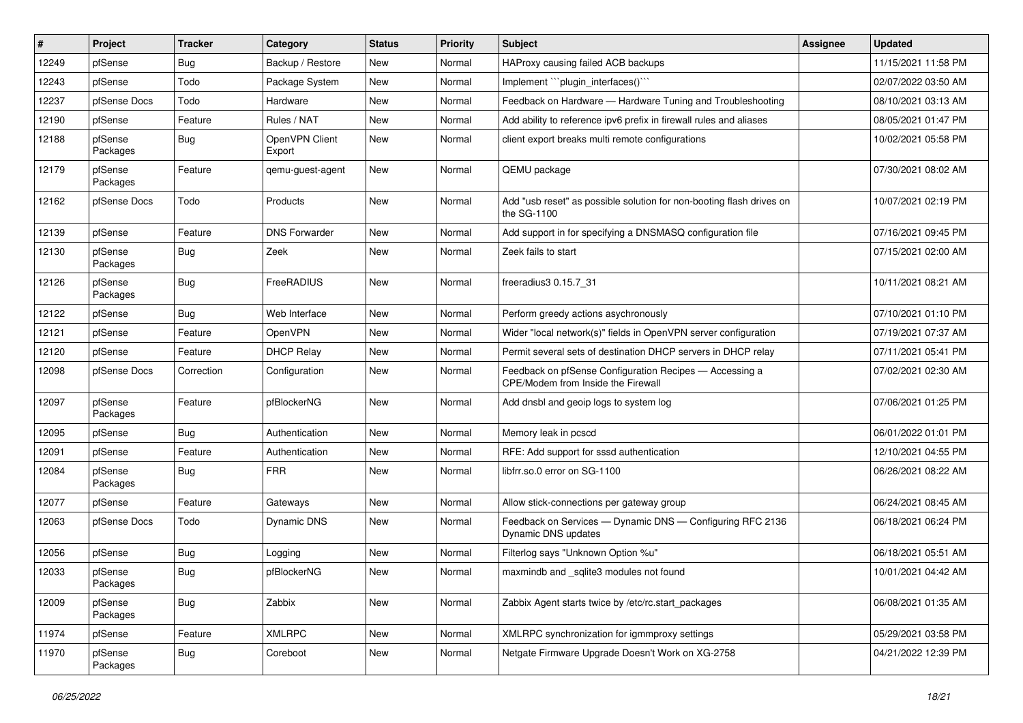| $\vert$ # | Project             | <b>Tracker</b> | Category                 | <b>Status</b> | <b>Priority</b> | Subject                                                                                       | <b>Assignee</b> | <b>Updated</b>      |
|-----------|---------------------|----------------|--------------------------|---------------|-----------------|-----------------------------------------------------------------------------------------------|-----------------|---------------------|
| 12249     | pfSense             | <b>Bug</b>     | Backup / Restore         | New           | Normal          | HAProxy causing failed ACB backups                                                            |                 | 11/15/2021 11:58 PM |
| 12243     | pfSense             | Todo           | Package System           | New           | Normal          | Implement "``plugin_interfaces()``                                                            |                 | 02/07/2022 03:50 AM |
| 12237     | pfSense Docs        | Todo           | Hardware                 | New           | Normal          | Feedback on Hardware - Hardware Tuning and Troubleshooting                                    |                 | 08/10/2021 03:13 AM |
| 12190     | pfSense             | Feature        | Rules / NAT              | New           | Normal          | Add ability to reference ipv6 prefix in firewall rules and aliases                            |                 | 08/05/2021 01:47 PM |
| 12188     | pfSense<br>Packages | <b>Bug</b>     | OpenVPN Client<br>Export | New           | Normal          | client export breaks multi remote configurations                                              |                 | 10/02/2021 05:58 PM |
| 12179     | pfSense<br>Packages | Feature        | gemu-guest-agent         | New           | Normal          | QEMU package                                                                                  |                 | 07/30/2021 08:02 AM |
| 12162     | pfSense Docs        | Todo           | Products                 | <b>New</b>    | Normal          | Add "usb reset" as possible solution for non-booting flash drives on<br>the SG-1100           |                 | 10/07/2021 02:19 PM |
| 12139     | pfSense             | Feature        | <b>DNS Forwarder</b>     | New           | Normal          | Add support in for specifying a DNSMASQ configuration file                                    |                 | 07/16/2021 09:45 PM |
| 12130     | pfSense<br>Packages | <b>Bug</b>     | Zeek                     | New           | Normal          | Zeek fails to start                                                                           |                 | 07/15/2021 02:00 AM |
| 12126     | pfSense<br>Packages | <b>Bug</b>     | FreeRADIUS               | New           | Normal          | freeradius3 0.15.7 31                                                                         |                 | 10/11/2021 08:21 AM |
| 12122     | pfSense             | <b>Bug</b>     | Web Interface            | <b>New</b>    | Normal          | Perform greedy actions asychronously                                                          |                 | 07/10/2021 01:10 PM |
| 12121     | pfSense             | Feature        | OpenVPN                  | New           | Normal          | Wider "local network(s)" fields in OpenVPN server configuration                               |                 | 07/19/2021 07:37 AM |
| 12120     | pfSense             | Feature        | <b>DHCP Relay</b>        | New           | Normal          | Permit several sets of destination DHCP servers in DHCP relay                                 |                 | 07/11/2021 05:41 PM |
| 12098     | pfSense Docs        | Correction     | Configuration            | New           | Normal          | Feedback on pfSense Configuration Recipes - Accessing a<br>CPE/Modem from Inside the Firewall |                 | 07/02/2021 02:30 AM |
| 12097     | pfSense<br>Packages | Feature        | pfBlockerNG              | New           | Normal          | Add dnsbl and geoip logs to system log                                                        |                 | 07/06/2021 01:25 PM |
| 12095     | pfSense             | <b>Bug</b>     | Authentication           | <b>New</b>    | Normal          | Memory leak in pcscd                                                                          |                 | 06/01/2022 01:01 PM |
| 12091     | pfSense             | Feature        | Authentication           | New           | Normal          | RFE: Add support for sssd authentication                                                      |                 | 12/10/2021 04:55 PM |
| 12084     | pfSense<br>Packages | <b>Bug</b>     | <b>FRR</b>               | New           | Normal          | libfrr.so.0 error on SG-1100                                                                  |                 | 06/26/2021 08:22 AM |
| 12077     | pfSense             | Feature        | Gateways                 | <b>New</b>    | Normal          | Allow stick-connections per gateway group                                                     |                 | 06/24/2021 08:45 AM |
| 12063     | pfSense Docs        | Todo           | Dynamic DNS              | New           | Normal          | Feedback on Services - Dynamic DNS - Configuring RFC 2136<br>Dynamic DNS updates              |                 | 06/18/2021 06:24 PM |
| 12056     | pfSense             | <b>Bug</b>     | Logging                  | New           | Normal          | Filterlog says "Unknown Option %u"                                                            |                 | 06/18/2021 05:51 AM |
| 12033     | pfSense<br>Packages | Bug            | pfBlockerNG              | New           | Normal          | maxmindb and sqlite3 modules not found                                                        |                 | 10/01/2021 04:42 AM |
| 12009     | pfSense<br>Packages | i Bug          | Zabbix                   | New           | Normal          | Zabbix Agent starts twice by /etc/rc.start_packages                                           |                 | 06/08/2021 01:35 AM |
| 11974     | pfSense             | Feature        | <b>XMLRPC</b>            | New           | Normal          | XMLRPC synchronization for igmmproxy settings                                                 |                 | 05/29/2021 03:58 PM |
| 11970     | pfSense<br>Packages | Bug            | Coreboot                 | New           | Normal          | Netgate Firmware Upgrade Doesn't Work on XG-2758                                              |                 | 04/21/2022 12:39 PM |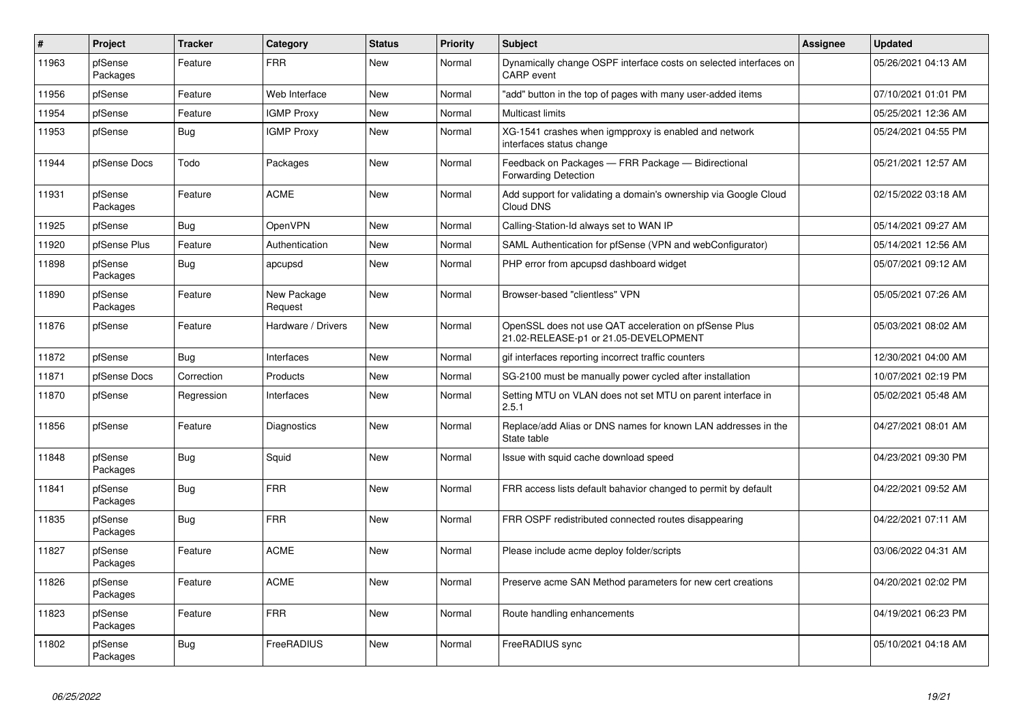| $\vert$ # | Project             | <b>Tracker</b> | Category               | <b>Status</b> | Priority | <b>Subject</b>                                                                                 | Assignee | <b>Updated</b>      |
|-----------|---------------------|----------------|------------------------|---------------|----------|------------------------------------------------------------------------------------------------|----------|---------------------|
| 11963     | pfSense<br>Packages | Feature        | <b>FRR</b>             | New           | Normal   | Dynamically change OSPF interface costs on selected interfaces on<br><b>CARP</b> event         |          | 05/26/2021 04:13 AM |
| 11956     | pfSense             | Feature        | Web Interface          | New           | Normal   | 'add" button in the top of pages with many user-added items                                    |          | 07/10/2021 01:01 PM |
| 11954     | pfSense             | Feature        | <b>IGMP Proxy</b>      | <b>New</b>    | Normal   | <b>Multicast limits</b>                                                                        |          | 05/25/2021 12:36 AM |
| 11953     | pfSense             | Bug            | <b>IGMP Proxy</b>      | New           | Normal   | XG-1541 crashes when igmpproxy is enabled and network<br>interfaces status change              |          | 05/24/2021 04:55 PM |
| 11944     | pfSense Docs        | Todo           | Packages               | New           | Normal   | Feedback on Packages - FRR Package - Bidirectional<br>Forwarding Detection                     |          | 05/21/2021 12:57 AM |
| 11931     | pfSense<br>Packages | Feature        | <b>ACME</b>            | New           | Normal   | Add support for validating a domain's ownership via Google Cloud<br>Cloud DNS                  |          | 02/15/2022 03:18 AM |
| 11925     | pfSense             | Bug            | OpenVPN                | <b>New</b>    | Normal   | Calling-Station-Id always set to WAN IP                                                        |          | 05/14/2021 09:27 AM |
| 11920     | pfSense Plus        | Feature        | Authentication         | New           | Normal   | SAML Authentication for pfSense (VPN and webConfigurator)                                      |          | 05/14/2021 12:56 AM |
| 11898     | pfSense<br>Packages | Bug            | apcupsd                | New           | Normal   | PHP error from apcupsd dashboard widget                                                        |          | 05/07/2021 09:12 AM |
| 11890     | pfSense<br>Packages | Feature        | New Package<br>Request | <b>New</b>    | Normal   | Browser-based "clientless" VPN                                                                 |          | 05/05/2021 07:26 AM |
| 11876     | pfSense             | Feature        | Hardware / Drivers     | New           | Normal   | OpenSSL does not use QAT acceleration on pfSense Plus<br>21.02-RELEASE-p1 or 21.05-DEVELOPMENT |          | 05/03/2021 08:02 AM |
| 11872     | pfSense             | Bug            | Interfaces             | <b>New</b>    | Normal   | gif interfaces reporting incorrect traffic counters                                            |          | 12/30/2021 04:00 AM |
| 11871     | pfSense Docs        | Correction     | Products               | New           | Normal   | SG-2100 must be manually power cycled after installation                                       |          | 10/07/2021 02:19 PM |
| 11870     | pfSense             | Regression     | Interfaces             | New           | Normal   | Setting MTU on VLAN does not set MTU on parent interface in<br>2.5.1                           |          | 05/02/2021 05:48 AM |
| 11856     | pfSense             | Feature        | Diagnostics            | <b>New</b>    | Normal   | Replace/add Alias or DNS names for known LAN addresses in the<br>State table                   |          | 04/27/2021 08:01 AM |
| 11848     | pfSense<br>Packages | Bug            | Squid                  | New           | Normal   | Issue with squid cache download speed                                                          |          | 04/23/2021 09:30 PM |
| 11841     | pfSense<br>Packages | Bug            | <b>FRR</b>             | New           | Normal   | FRR access lists default bahavior changed to permit by default                                 |          | 04/22/2021 09:52 AM |
| 11835     | pfSense<br>Packages | <b>Bug</b>     | <b>FRR</b>             | New           | Normal   | FRR OSPF redistributed connected routes disappearing                                           |          | 04/22/2021 07:11 AM |
| 11827     | pfSense<br>Packages | Feature        | <b>ACME</b>            | <b>New</b>    | Normal   | Please include acme deploy folder/scripts                                                      |          | 03/06/2022 04:31 AM |
| 11826     | pfSense<br>Packages | Feature        | <b>ACME</b>            | New           | Normal   | Preserve acme SAN Method parameters for new cert creations                                     |          | 04/20/2021 02:02 PM |
| 11823     | pfSense<br>Packages | Feature        | <b>FRR</b>             | New           | Normal   | Route handling enhancements                                                                    |          | 04/19/2021 06:23 PM |
| 11802     | pfSense<br>Packages | <b>Bug</b>     | FreeRADIUS             | <b>New</b>    | Normal   | FreeRADIUS sync                                                                                |          | 05/10/2021 04:18 AM |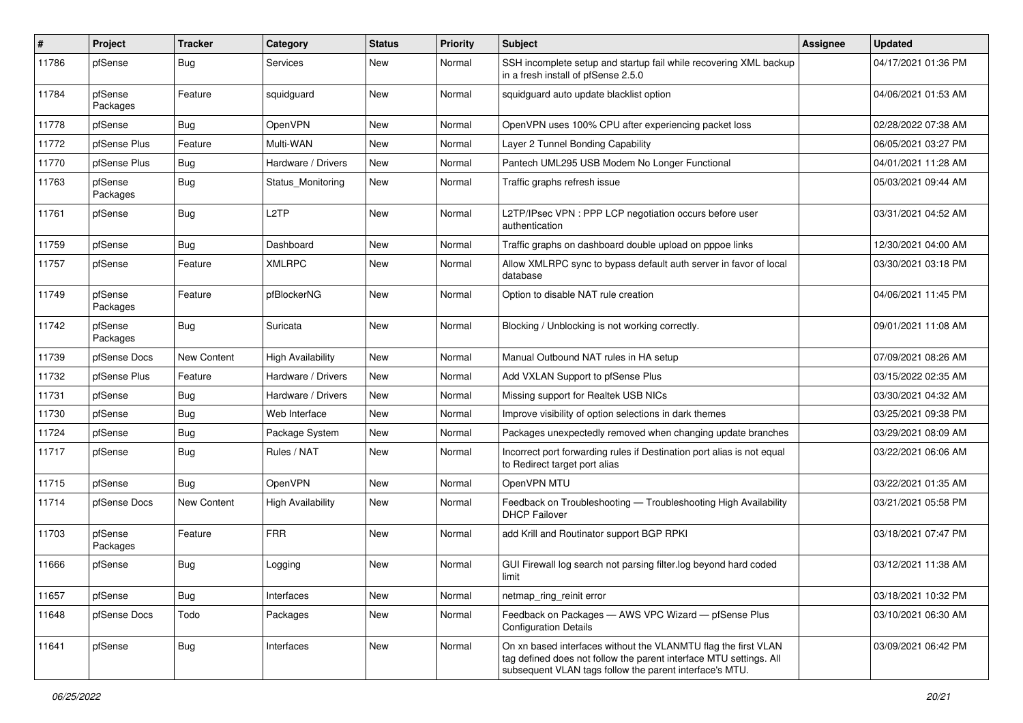| $\sharp$ | Project             | <b>Tracker</b>     | Category                 | <b>Status</b> | <b>Priority</b> | <b>Subject</b>                                                                                                                                                                                  | <b>Assignee</b> | <b>Updated</b>      |
|----------|---------------------|--------------------|--------------------------|---------------|-----------------|-------------------------------------------------------------------------------------------------------------------------------------------------------------------------------------------------|-----------------|---------------------|
| 11786    | pfSense             | <b>Bug</b>         | Services                 | New           | Normal          | SSH incomplete setup and startup fail while recovering XML backup<br>in a fresh install of pfSense 2.5.0                                                                                        |                 | 04/17/2021 01:36 PM |
| 11784    | pfSense<br>Packages | Feature            | squidguard               | New           | Normal          | squidguard auto update blacklist option                                                                                                                                                         |                 | 04/06/2021 01:53 AM |
| 11778    | pfSense             | <b>Bug</b>         | OpenVPN                  | New           | Normal          | OpenVPN uses 100% CPU after experiencing packet loss                                                                                                                                            |                 | 02/28/2022 07:38 AM |
| 11772    | pfSense Plus        | Feature            | Multi-WAN                | New           | Normal          | Layer 2 Tunnel Bonding Capability                                                                                                                                                               |                 | 06/05/2021 03:27 PM |
| 11770    | pfSense Plus        | <b>Bug</b>         | Hardware / Drivers       | New           | Normal          | Pantech UML295 USB Modem No Longer Functional                                                                                                                                                   |                 | 04/01/2021 11:28 AM |
| 11763    | pfSense<br>Packages | <b>Bug</b>         | Status Monitoring        | New           | Normal          | Traffic graphs refresh issue                                                                                                                                                                    |                 | 05/03/2021 09:44 AM |
| 11761    | pfSense             | Bug                | L <sub>2</sub> TP        | New           | Normal          | L2TP/IPsec VPN : PPP LCP negotiation occurs before user<br>authentication                                                                                                                       |                 | 03/31/2021 04:52 AM |
| 11759    | pfSense             | Bug                | Dashboard                | <b>New</b>    | Normal          | Traffic graphs on dashboard double upload on pppoe links                                                                                                                                        |                 | 12/30/2021 04:00 AM |
| 11757    | pfSense             | Feature            | <b>XMLRPC</b>            | New           | Normal          | Allow XMLRPC sync to bypass default auth server in favor of local<br>database                                                                                                                   |                 | 03/30/2021 03:18 PM |
| 11749    | pfSense<br>Packages | Feature            | pfBlockerNG              | New           | Normal          | Option to disable NAT rule creation                                                                                                                                                             |                 | 04/06/2021 11:45 PM |
| 11742    | pfSense<br>Packages | <b>Bug</b>         | Suricata                 | <b>New</b>    | Normal          | Blocking / Unblocking is not working correctly.                                                                                                                                                 |                 | 09/01/2021 11:08 AM |
| 11739    | pfSense Docs        | New Content        | <b>High Availability</b> | <b>New</b>    | Normal          | Manual Outbound NAT rules in HA setup                                                                                                                                                           |                 | 07/09/2021 08:26 AM |
| 11732    | pfSense Plus        | Feature            | Hardware / Drivers       | New           | Normal          | Add VXLAN Support to pfSense Plus                                                                                                                                                               |                 | 03/15/2022 02:35 AM |
| 11731    | pfSense             | Bug                | Hardware / Drivers       | <b>New</b>    | Normal          | Missing support for Realtek USB NICs                                                                                                                                                            |                 | 03/30/2021 04:32 AM |
| 11730    | pfSense             | Bug                | Web Interface            | New           | Normal          | Improve visibility of option selections in dark themes                                                                                                                                          |                 | 03/25/2021 09:38 PM |
| 11724    | pfSense             | <b>Bug</b>         | Package System           | New           | Normal          | Packages unexpectedly removed when changing update branches                                                                                                                                     |                 | 03/29/2021 08:09 AM |
| 11717    | pfSense             | <b>Bug</b>         | Rules / NAT              | New           | Normal          | Incorrect port forwarding rules if Destination port alias is not equal<br>to Redirect target port alias                                                                                         |                 | 03/22/2021 06:06 AM |
| 11715    | pfSense             | <b>Bug</b>         | OpenVPN                  | New           | Normal          | OpenVPN MTU                                                                                                                                                                                     |                 | 03/22/2021 01:35 AM |
| 11714    | pfSense Docs        | <b>New Content</b> | <b>High Availability</b> | New           | Normal          | Feedback on Troubleshooting - Troubleshooting High Availability<br><b>DHCP Failover</b>                                                                                                         |                 | 03/21/2021 05:58 PM |
| 11703    | pfSense<br>Packages | Feature            | <b>FRR</b>               | <b>New</b>    | Normal          | add Krill and Routinator support BGP RPKI                                                                                                                                                       |                 | 03/18/2021 07:47 PM |
| 11666    | pfSense             | <b>Bug</b>         | Logging                  | <b>New</b>    | Normal          | GUI Firewall log search not parsing filter.log beyond hard coded                                                                                                                                |                 | 03/12/2021 11:38 AM |
| 11657    | pfSense             | Bug                | Interfaces               | New           | Normal          | netmap_ring_reinit error                                                                                                                                                                        |                 | 03/18/2021 10:32 PM |
| 11648    | pfSense Docs        | Todo               | Packages                 | New           | Normal          | Feedback on Packages - AWS VPC Wizard - pfSense Plus<br><b>Configuration Details</b>                                                                                                            |                 | 03/10/2021 06:30 AM |
| 11641    | pfSense             | i Bug              | Interfaces               | New           | Normal          | On xn based interfaces without the VLANMTU flag the first VLAN<br>tag defined does not follow the parent interface MTU settings. All<br>subsequent VLAN tags follow the parent interface's MTU. |                 | 03/09/2021 06:42 PM |